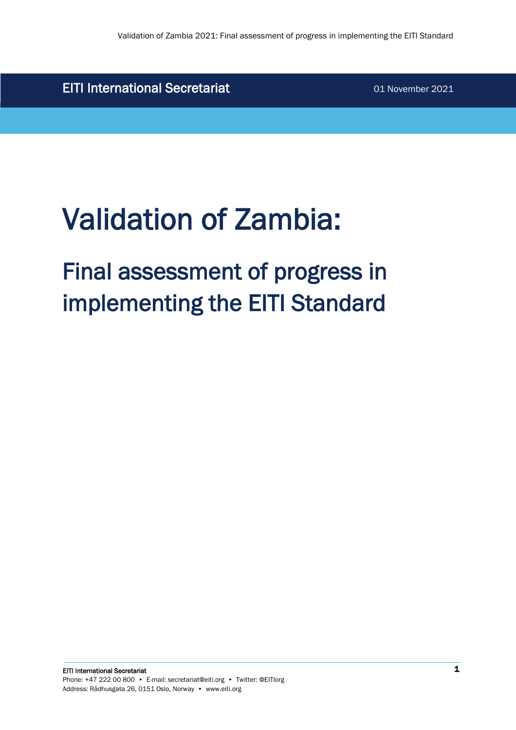EITI International Secretariat **1988** 01 November 2021

# Validation of Zambia:

# Final assessment of progress in implementing the EITI Standard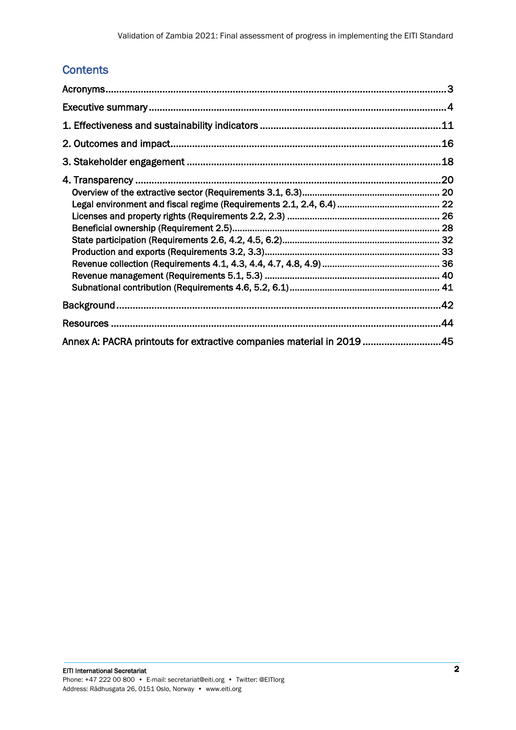# **Contents**

|                                                                       | .44 |
|-----------------------------------------------------------------------|-----|
| Annex A: PACRA printouts for extractive companies material in 2019 45 |     |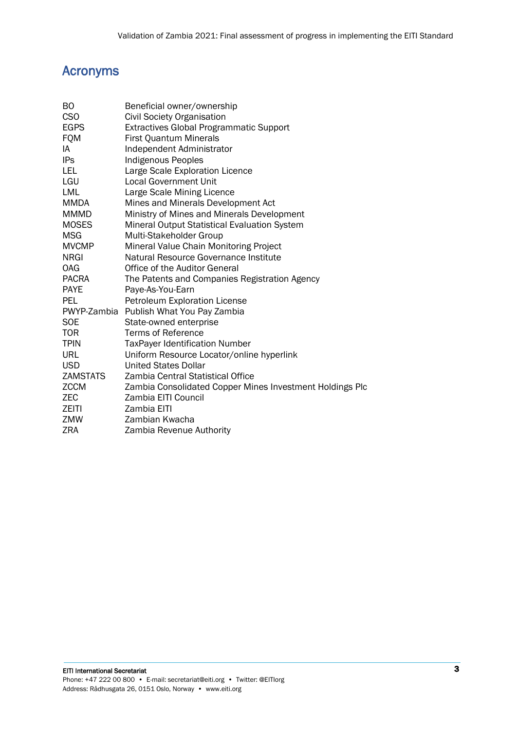# <span id="page-2-0"></span>Acronyms

| BO           | Beneficial owner/ownership                               |
|--------------|----------------------------------------------------------|
| <b>CSO</b>   | <b>Civil Society Organisation</b>                        |
| <b>EGPS</b>  | Extractives Global Programmatic Support                  |
| <b>FQM</b>   | First Quantum Minerals                                   |
| IA           | Independent Administrator                                |
| <b>IPs</b>   | <b>Indigenous Peoples</b>                                |
| LEL          | Large Scale Exploration Licence                          |
| LGU          | <b>Local Government Unit</b>                             |
| LML          | Large Scale Mining Licence                               |
| MMDA         | Mines and Minerals Development Act                       |
| <b>MMMD</b>  | Ministry of Mines and Minerals Development               |
| <b>MOSES</b> | Mineral Output Statistical Evaluation System             |
| MSG          | Multi-Stakeholder Group                                  |
| <b>MVCMP</b> | Mineral Value Chain Monitoring Project                   |
| <b>NRGI</b>  | Natural Resource Governance Institute                    |
| <b>OAG</b>   | Office of the Auditor General                            |
| <b>PACRA</b> | The Patents and Companies Registration Agency            |
| <b>PAYE</b>  | Paye-As-You-Earn                                         |
| <b>PEL</b>   | <b>Petroleum Exploration License</b>                     |
|              | PWYP-Zambia Publish What You Pay Zambia                  |
| <b>SOE</b>   | State-owned enterprise                                   |
| <b>TOR</b>   | <b>Terms of Reference</b>                                |
| <b>TPIN</b>  | <b>TaxPayer Identification Number</b>                    |
| <b>URL</b>   | Uniform Resource Locator/online hyperlink                |
| <b>USD</b>   | United States Dollar                                     |
| ZAMSTATS     | Zambia Central Statistical Office                        |
| <b>ZCCM</b>  | Zambia Consolidated Copper Mines Investment Holdings Plc |
| ZEC.         | Zambia EITI Council                                      |
| ZEITI        | Zambia EITI                                              |
| ZMW          | Zambian Kwacha                                           |
| ZRA          | Zambia Revenue Authority                                 |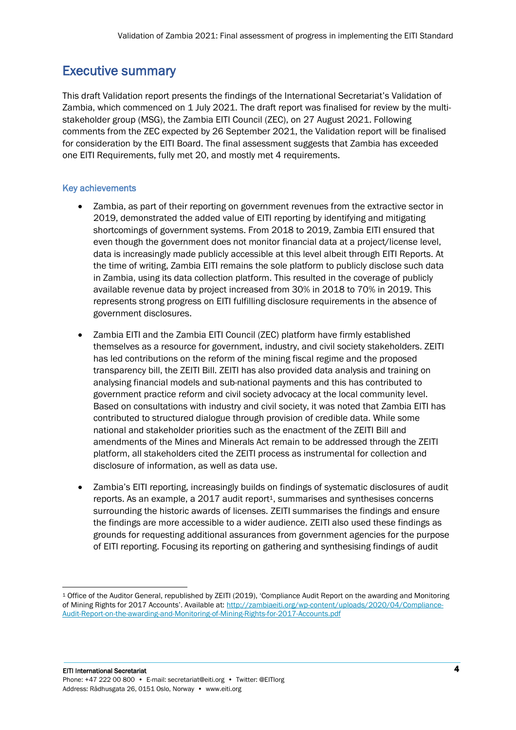# <span id="page-3-0"></span>Executive summary

This draft Validation report presents the findings of the International Secretariat's Validation of Zambia, which commenced on 1 July 2021. The draft report was finalised for review by the multistakeholder group (MSG), the Zambia EITI Council (ZEC), on 27 August 2021. Following comments from the ZEC expected by 26 September 2021, the Validation report will be finalised for consideration by the EITI Board. The final assessment suggests that Zambia has exceeded one EITI Requirements, fully met 20, and mostly met 4 requirements.

# Key achievements

- Zambia, as part of their reporting on government revenues from the extractive sector in 2019, demonstrated the added value of EITI reporting by identifying and mitigating shortcomings of government systems. From 2018 to 2019, Zambia EITI ensured that even though the government does not monitor financial data at a project/license level, data is increasingly made publicly accessible at this level albeit through EITI Reports. At the time of writing, Zambia EITI remains the sole platform to publicly disclose such data in Zambia, using its data collection platform. This resulted in the coverage of publicly available revenue data by project increased from 30% in 2018 to 70% in 2019. This represents strong progress on EITI fulfilling disclosure requirements in the absence of government disclosures.
- Zambia EITI and the Zambia EITI Council (ZEC) platform have firmly established themselves as a resource for government, industry, and civil society stakeholders. ZEITI has led contributions on the reform of the mining fiscal regime and the proposed transparency bill, the ZEITI Bill. ZEITI has also provided data analysis and training on analysing financial models and sub-national payments and this has contributed to government practice reform and civil society advocacy at the local community level. Based on consultations with industry and civil society, it was noted that Zambia EITI has contributed to structured dialogue through provision of credible data. While some national and stakeholder priorities such as the enactment of the ZEITI Bill and amendments of the Mines and Minerals Act remain to be addressed through the ZEITI platform, all stakeholders cited the ZEITI process as instrumental for collection and disclosure of information, as well as data use.
- Zambia's EITI reporting, increasingly builds on findings of systematic disclosures of audit reports. As an example, a  $2017$  audit report<sup>1</sup>, summarises and synthesises concerns surrounding the historic awards of licenses. ZEITI summarises the findings and ensure the findings are more accessible to a wider audience. ZEITI also used these findings as grounds for requesting additional assurances from government agencies for the purpose of EITI reporting. Focusing its reporting on gathering and synthesising findings of audit

<sup>1</sup> Office of the Auditor General, republished by ZEITI (2019), 'Compliance Audit Report on the awarding and Monitoring of Mining Rights for 2017 Accounts'. Available at: [http://zambiaeiti.org/wp-content/uploads/2020/04/Compliance-](http://zambiaeiti.org/wp-content/uploads/2020/04/Compliance-Audit-Report-on-the-awarding-and-Monitoring-of-Mining-Rights-for-2017-Accounts.pdf)[Audit-Report-on-the-awarding-and-Monitoring-of-Mining-Rights-for-2017-Accounts.pdf](http://zambiaeiti.org/wp-content/uploads/2020/04/Compliance-Audit-Report-on-the-awarding-and-Monitoring-of-Mining-Rights-for-2017-Accounts.pdf)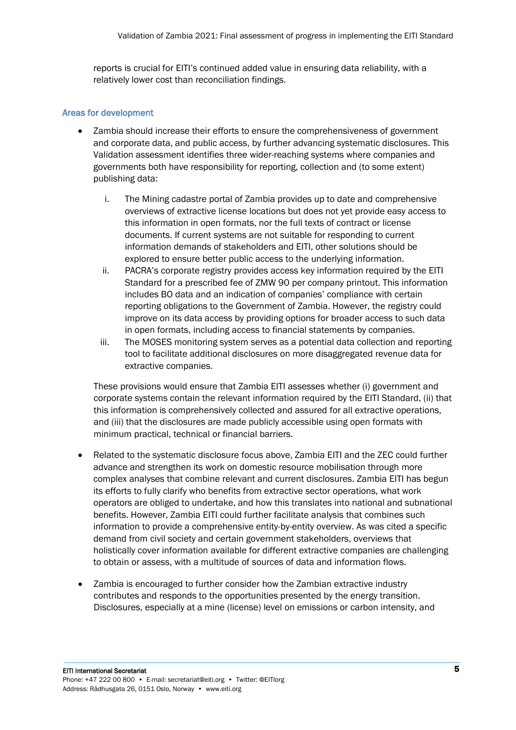reports is crucial for EITI's continued added value in ensuring data reliability, with a relatively lower cost than reconciliation findings.

#### Areas for development

- Zambia should increase their efforts to ensure the comprehensiveness of government and corporate data, and public access, by further advancing systematic disclosures. This Validation assessment identifies three wider-reaching systems where companies and governments both have responsibility for reporting, collection and (to some extent) publishing data:
	- i. The Mining cadastre portal of Zambia provides up to date and comprehensive overviews of extractive license locations but does not yet provide easy access to this information in open formats, nor the full texts of contract or license documents. If current systems are not suitable for responding to current information demands of stakeholders and EITI, other solutions should be explored to ensure better public access to the underlying information.
	- ii. PACRA's corporate registry provides access key information required by the EITI Standard for a prescribed fee of ZMW 90 per company printout. This information includes BO data and an indication of companies' compliance with certain reporting obligations to the Government of Zambia. However, the registry could improve on its data access by providing options for broader access to such data in open formats, including access to financial statements by companies.
	- iii. The MOSES monitoring system serves as a potential data collection and reporting tool to facilitate additional disclosures on more disaggregated revenue data for extractive companies.

These provisions would ensure that Zambia EITI assesses whether (i) government and corporate systems contain the relevant information required by the EITI Standard, (ii) that this information is comprehensively collected and assured for all extractive operations, and (iii) that the disclosures are made publicly accessible using open formats with minimum practical, technical or financial barriers.

- Related to the systematic disclosure focus above, Zambia EITI and the ZEC could further advance and strengthen its work on domestic resource mobilisation through more complex analyses that combine relevant and current disclosures. Zambia EITI has begun its efforts to fully clarify who benefits from extractive sector operations, what work operators are obliged to undertake, and how this translates into national and subnational benefits. However, Zambia EITI could further facilitate analysis that combines such information to provide a comprehensive entity-by-entity overview. As was cited a specific demand from civil society and certain government stakeholders, overviews that holistically cover information available for different extractive companies are challenging to obtain or assess, with a multitude of sources of data and information flows.
- Zambia is encouraged to further consider how the Zambian extractive industry contributes and responds to the opportunities presented by the energy transition. Disclosures, especially at a mine (license) level on emissions or carbon intensity, and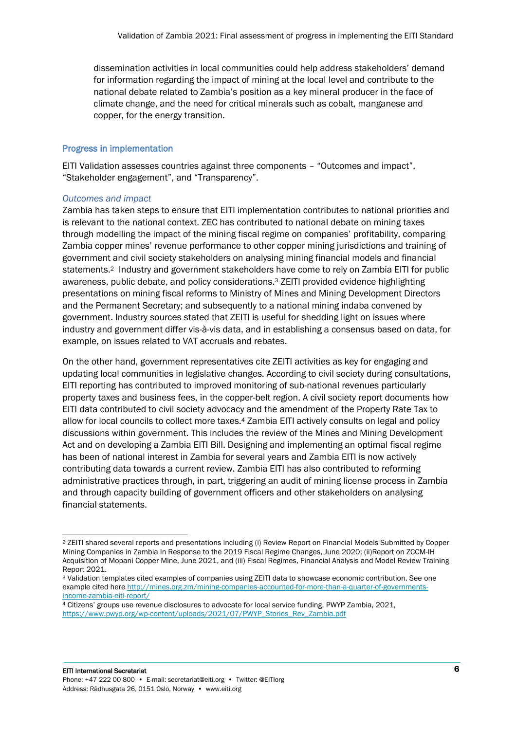dissemination activities in local communities could help address stakeholders' demand for information regarding the impact of mining at the local level and contribute to the national debate related to Zambia's position as a key mineral producer in the face of climate change, and the need for critical minerals such as cobalt, manganese and copper, for the energy transition.

#### Progress in implementation

EITI Validation assesses countries against three components – "Outcomes and impact", "Stakeholder engagement", and "Transparency".

#### *Outcomes and impact*

Zambia has taken steps to ensure that EITI implementation contributes to national priorities and is relevant to the national context. ZEC has contributed to national debate on mining taxes through modelling the impact of the mining fiscal regime on companies' profitability, comparing Zambia copper mines' revenue performance to other copper mining jurisdictions and training of government and civil society stakeholders on analysing mining financial models and financial statements.2 Industry and government stakeholders have come to rely on Zambia EITI for public awareness, public debate, and policy considerations. <sup>3</sup> ZEITI provided evidence highlighting presentations on mining fiscal reforms to Ministry of Mines and Mining Development Directors and the Permanent Secretary; and subsequently to a national mining indaba convened by government. Industry sources stated that ZEITI is useful for shedding light on issues where industry and government differ vis-à-vis data, and in establishing a consensus based on data, for example, on issues related to VAT accruals and rebates.

On the other hand, government representatives cite ZEITI activities as key for engaging and updating local communities in legislative changes. According to civil society during consultations, EITI reporting has contributed to improved monitoring of sub-national revenues particularly property taxes and business fees, in the copper-belt region. A civil society report documents how EITI data contributed to civil society advocacy and the amendment of the Property Rate Tax to allow for local councils to collect more taxes.<sup>4</sup> Zambia EITI actively consults on legal and policy discussions within government. This includes the review of the Mines and Mining Development Act and on developing a Zambia EITI Bill. Designing and implementing an optimal fiscal regime has been of national interest in Zambia for several years and Zambia EITI is now actively contributing data towards a current review. Zambia EITI has also contributed to reforming administrative practices through, in part, triggering an audit of mining license process in Zambia and through capacity building of government officers and other stakeholders on analysing financial statements.

<sup>2</sup> ZEITI shared several reports and presentations including (i) Review Report on Financial Models Submitted by Copper Mining Companies in Zambia In Response to the 2019 Fiscal Regime Changes, June 2020; (ii)Report on ZCCM-IH Acquisition of Mopani Copper Mine, June 2021, and (iii) Fiscal Regimes, Financial Analysis and Model Review Training Report 2021.

<sup>3</sup> Validation templates cited examples of companies using ZEITI data to showcase economic contribution. See one example cited her[e http://mines.org.zm/mining-companies-accounted-for-more-than-a-quarter-of-governments](http://mines.org.zm/mining-companies-accounted-for-more-than-a-quarter-of-governments-income-zambia-eiti-report/)[income-zambia-eiti-report/](http://mines.org.zm/mining-companies-accounted-for-more-than-a-quarter-of-governments-income-zambia-eiti-report/)

<sup>4</sup> Citizens' groups use revenue disclosures to advocate for local service funding, PWYP Zambia, 2021, [https://www.pwyp.org/wp-content/uploads/2021/07/PWYP\\_Stories\\_Rev\\_Zambia.pdf](https://www.pwyp.org/wp-content/uploads/2021/07/PWYP_Stories_Rev_Zambia.pdf)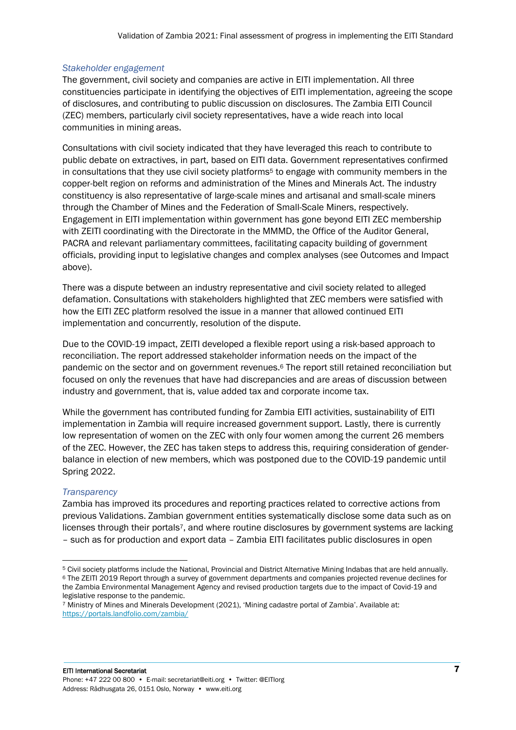## *Stakeholder engagement*

The government, civil society and companies are active in EITI implementation. All three constituencies participate in identifying the objectives of EITI implementation, agreeing the scope of disclosures, and contributing to public discussion on disclosures. The Zambia EITI Council (ZEC) members, particularly civil society representatives, have a wide reach into local communities in mining areas.

Consultations with civil society indicated that they have leveraged this reach to contribute to public debate on extractives, in part, based on EITI data. Government representatives confirmed in consultations that they use civil society platforms<sup>5</sup> to engage with community members in the copper-belt region on reforms and administration of the Mines and Minerals Act. The industry constituency is also representative of large-scale mines and artisanal and small-scale miners through the Chamber of Mines and the Federation of Small-Scale Miners, respectively. Engagement in EITI implementation within government has gone beyond EITI ZEC membership with ZEITI coordinating with the Directorate in the MMMD, the Office of the Auditor General, PACRA and relevant parliamentary committees, facilitating capacity building of government officials, providing input to legislative changes and complex analyses (see Outcomes and Impact above).

There was a dispute between an industry representative and civil society related to alleged defamation. Consultations with stakeholders highlighted that ZEC members were satisfied with how the EITI ZEC platform resolved the issue in a manner that allowed continued EITI implementation and concurrently, resolution of the dispute.

Due to the COVID-19 impact, ZEITI developed a flexible report using a risk-based approach to reconciliation. The report addressed stakeholder information needs on the impact of the pandemic on the sector and on government revenues.<sup>6</sup> The report still retained reconciliation but focused on only the revenues that have had discrepancies and are areas of discussion between industry and government, that is, value added tax and corporate income tax.

While the government has contributed funding for Zambia EITI activities, sustainability of EITI implementation in Zambia will require increased government support. Lastly, there is currently low representation of women on the ZEC with only four women among the current 26 members of the ZEC. However, the ZEC has taken steps to address this, requiring consideration of genderbalance in election of new members, which was postponed due to the COVID-19 pandemic until Spring 2022.

#### *Transparency*

Zambia has improved its procedures and reporting practices related to corrective actions from previous Validations. Zambian government entities systematically disclose some data such as on licenses through their portals7, and where routine disclosures by government systems are lacking – such as for production and export data – Zambia EITI facilitates public disclosures in open

<sup>5</sup> Civil society platforms include the National, Provincial and District Alternative Mining Indabas that are held annually. <sup>6</sup> The ZEITI 2019 Report through a survey of government departments and companies projected revenue declines for the Zambia Environmental Management Agency and revised production targets due to the impact of Covid-19 and legislative response to the pandemic.

<sup>7</sup> Ministry of Mines and Minerals Development (2021), 'Mining cadastre portal of Zambia'. Available at: <https://portals.landfolio.com/zambia/>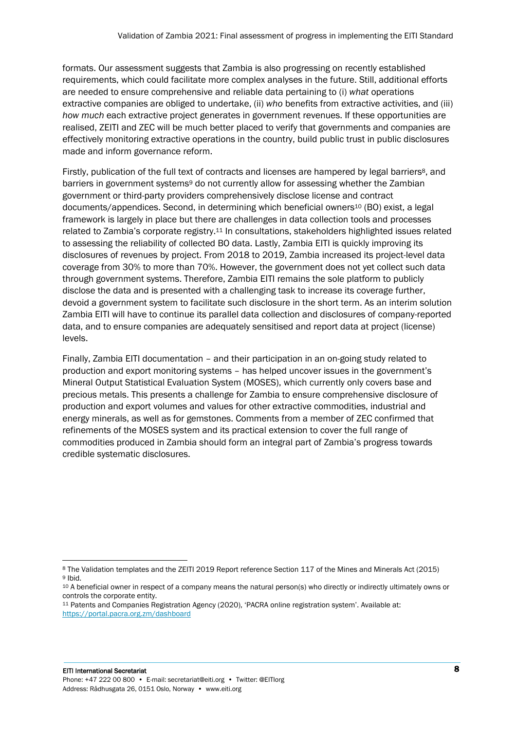formats. Our assessment suggests that Zambia is also progressing on recently established requirements, which could facilitate more complex analyses in the future. Still, additional efforts are needed to ensure comprehensive and reliable data pertaining to (i) *what* operations extractive companies are obliged to undertake, (ii) *who* benefits from extractive activities, and (iii) *how much* each extractive project generates in government revenues. If these opportunities are realised, ZEITI and ZEC will be much better placed to verify that governments and companies are effectively monitoring extractive operations in the country, build public trust in public disclosures made and inform governance reform.

Firstly, publication of the full text of contracts and licenses are hampered by legal barriers<sup>8</sup>, and barriers in government systems<sup>9</sup> do not currently allow for assessing whether the Zambian government or third-party providers comprehensively disclose license and contract documents/appendices. Second, in determining which beneficial owners<sup>10</sup> (BO) exist, a legal framework is largely in place but there are challenges in data collection tools and processes related to Zambia's corporate registry.<sup>11</sup> In consultations, stakeholders highlighted issues related to assessing the reliability of collected BO data. Lastly, Zambia EITI is quickly improving its disclosures of revenues by project. From 2018 to 2019, Zambia increased its project-level data coverage from 30% to more than 70%. However, the government does not yet collect such data through government systems. Therefore, Zambia EITI remains the sole platform to publicly disclose the data and is presented with a challenging task to increase its coverage further, devoid a government system to facilitate such disclosure in the short term. As an interim solution Zambia EITI will have to continue its parallel data collection and disclosures of company-reported data, and to ensure companies are adequately sensitised and report data at project (license) levels.

Finally, Zambia EITI documentation – and their participation in an on-going study related to production and export monitoring systems – has helped uncover issues in the government's Mineral Output Statistical Evaluation System (MOSES), which currently only covers base and precious metals. This presents a challenge for Zambia to ensure comprehensive disclosure of production and export volumes and values for other extractive commodities, industrial and energy minerals, as well as for gemstones. Comments from a member of ZEC confirmed that refinements of the MOSES system and its practical extension to cover the full range of commodities produced in Zambia should form an integral part of Zambia's progress towards credible systematic disclosures.

<sup>8</sup> The Validation templates and the ZEITI 2019 Report reference Section 117 of the Mines and Minerals Act (2015) <sup>9</sup> Ibid.

<sup>10</sup> A beneficial owner in respect of a company means the natural person(s) who directly or indirectly ultimately owns or controls the corporate entity.

<sup>11</sup> Patents and Companies Registration Agency (2020), 'PACRA online registration system'. Available at: <https://portal.pacra.org.zm/dashboard>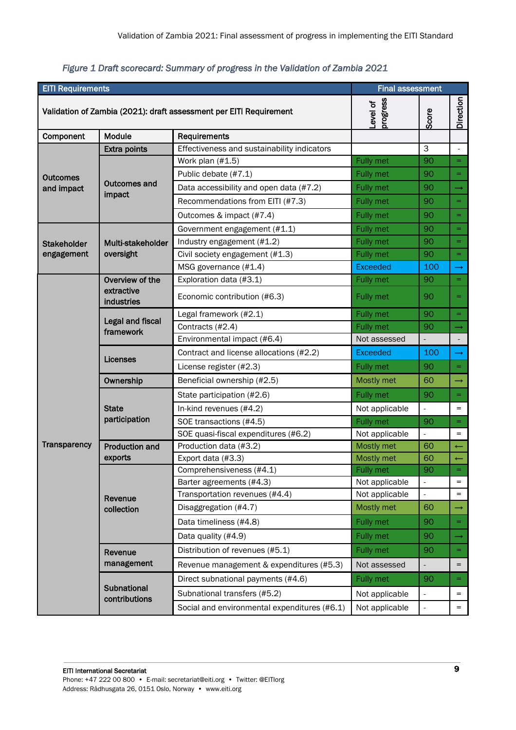| <b>EITI Requirements</b>                                           |                                      |                                              | <b>Final assessment</b> |                          |                |
|--------------------------------------------------------------------|--------------------------------------|----------------------------------------------|-------------------------|--------------------------|----------------|
| Validation of Zambia (2021): draft assessment per EITI Requirement |                                      | progress<br>Level of                         | Score                   | Direction                |                |
| Component                                                          | Module                               | Requirements                                 |                         |                          |                |
|                                                                    | <b>Extra points</b>                  | Effectiveness and sustainability indicators  |                         | 3                        | $\blacksquare$ |
|                                                                    |                                      | Work plan (#1.5)                             | <b>Fully met</b>        | 90                       | $=$            |
| <b>Outcomes</b>                                                    |                                      | Public debate (#7.1)                         | Fully met               | 90                       | $=$            |
| and impact                                                         | <b>Outcomes and</b>                  | Data accessibility and open data (#7.2)      | Fully met               | 90                       | $\rightarrow$  |
|                                                                    | impact                               | Recommendations from EITI (#7.3)             | <b>Fully met</b>        | 90                       | $=$            |
|                                                                    |                                      | Outcomes & impact (#7.4)                     | Fully met               | 90                       | $=$            |
|                                                                    |                                      | Government engagement (#1.1)                 | <b>Fully met</b>        | 90                       | $=$            |
| <b>Stakeholder</b>                                                 | Multi-stakeholder                    | Industry engagement (#1.2)                   | Fully met               | 90                       | $=$            |
| engagement                                                         | oversight                            | Civil society engagement (#1.3)              | Fully met               | 90                       | $=$            |
|                                                                    |                                      | MSG governance (#1.4)                        | <b>Exceeded</b>         | 100                      | $\rightarrow$  |
|                                                                    | Overview of the                      | Exploration data (#3.1)                      | Fully met               | 90                       | $=$            |
|                                                                    | extractive<br>industries             | Economic contribution (#6.3)                 | Fully met               | 90                       | $=$            |
|                                                                    |                                      | Legal framework (#2.1)                       | <b>Fully met</b>        | 90                       | $=$            |
|                                                                    | <b>Legal and fiscal</b><br>framework | Contracts (#2.4)                             | Fully met               | 90                       | $\rightarrow$  |
|                                                                    |                                      | Environmental impact (#6.4)                  | Not assessed            | $\frac{1}{2}$            |                |
|                                                                    | Licenses                             | Contract and license allocations (#2.2)      | <b>Exceeded</b>         | 100                      | $\rightarrow$  |
|                                                                    |                                      | License register (#2.3)                      | Fully met               | 90                       | $=$            |
|                                                                    | Ownership                            | Beneficial ownership (#2.5)                  | Mostly met              | 60                       | $\rightarrow$  |
|                                                                    |                                      | State participation (#2.6)                   | <b>Fully met</b>        | 90                       | $=$            |
|                                                                    | <b>State</b><br>participation        | In-kind revenues (#4.2)                      | Not applicable          |                          | $=$            |
|                                                                    |                                      | SOE transactions (#4.5)                      | Fully met               | 90                       | $=$            |
|                                                                    |                                      | SOE quasi-fiscal expenditures (#6.2)         | Not applicable          |                          | $=$            |
| <b>Transparency</b>                                                | <b>Production and</b>                | Production data (#3.2)                       | Mostly met              | 60                       | $\leftarrow$   |
|                                                                    | exports                              | Export data (#3.3)                           | Mostly met              | 60                       |                |
|                                                                    |                                      | Comprehensiveness (#4.1)                     | Fully met               | 90                       |                |
|                                                                    |                                      | Barter agreements (#4.3)                     | Not applicable          | $\overline{\phantom{a}}$ | $=$            |
|                                                                    | Revenue                              | Transportation revenues (#4.4)               | Not applicable          | $\overline{\phantom{a}}$ | $=$            |
|                                                                    | collection                           | Disaggregation (#4.7)                        | Mostly met              | 60                       | $\rightarrow$  |
|                                                                    |                                      | Data timeliness (#4.8)                       | Fully met               | 90                       | $=$            |
|                                                                    |                                      | Data quality (#4.9)                          | Fully met               | 90                       | $\rightarrow$  |
|                                                                    | Revenue                              | Distribution of revenues (#5.1)              | Fully met               | 90                       | $=$            |
|                                                                    | management                           | Revenue management & expenditures (#5.3)     | Not assessed            |                          | $=$            |
|                                                                    |                                      | Direct subnational payments (#4.6)           | Fully met               | 90                       | $=$            |
|                                                                    | Subnational<br>contributions         | Subnational transfers (#5.2)                 | Not applicable          | $\overline{\phantom{a}}$ | $=$            |
|                                                                    |                                      | Social and environmental expenditures (#6.1) | Not applicable          | $\blacksquare$           | $=$            |

# *Figure 1 Draft scorecard: Summary of progress in the Validation of Zambia 2021*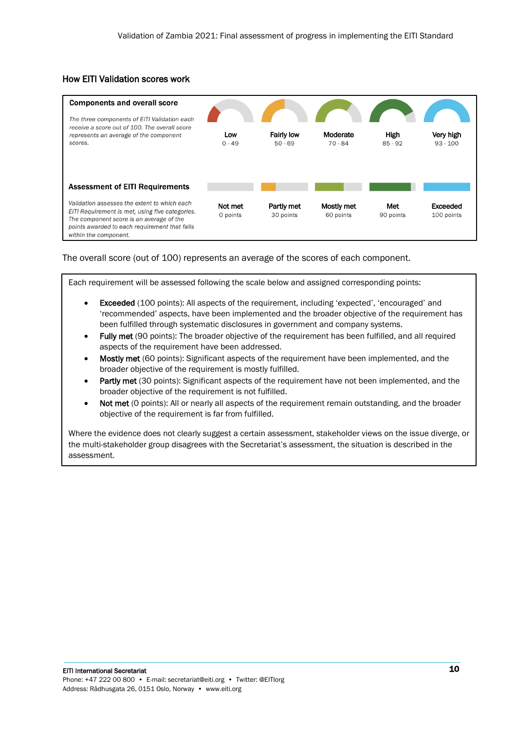# How EITI Validation scores work



The overall score (out of 100) represents an average of the scores of each component.

Each requirement will be assessed following the scale below and assigned corresponding points:

- Exceeded (100 points): All aspects of the requirement, including 'expected', 'encouraged' and 'recommended' aspects, have been implemented and the broader objective of the requirement has been fulfilled through systematic disclosures in government and company systems.
- Fully met (90 points): The broader objective of the requirement has been fulfilled, and all required aspects of the requirement have been addressed.
- Mostly met (60 points): Significant aspects of the requirement have been implemented, and the broader objective of the requirement is mostly fulfilled.
- Partly met (30 points): Significant aspects of the requirement have not been implemented, and the broader objective of the requirement is not fulfilled.
- Not met (0 points): All or nearly all aspects of the requirement remain outstanding, and the broader objective of the requirement is far from fulfilled.

Where the evidence does not clearly suggest a certain assessment, stakeholder views on the issue diverge, or the multi-stakeholder group disagrees with the Secretariat's assessment, the situation is described in the assessment.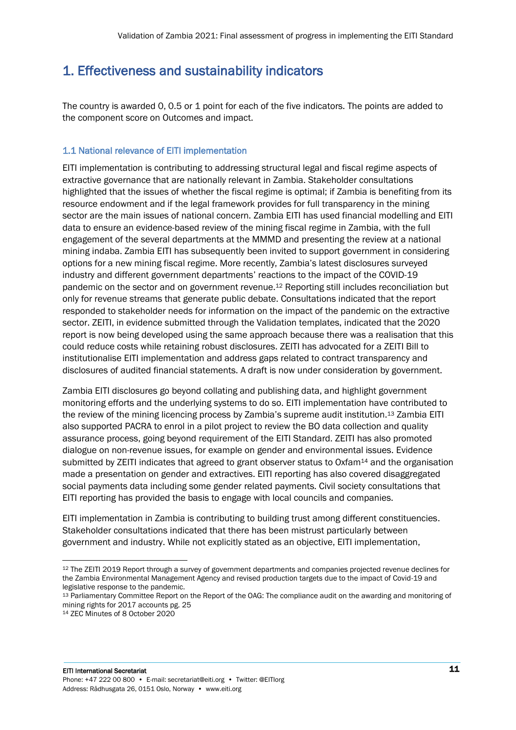# <span id="page-10-0"></span>1. Effectiveness and sustainability indicators

The country is awarded 0, 0.5 or 1 point for each of the five indicators. The points are added to the component score on Outcomes and impact.

# 1.1 National relevance of EITI implementation

EITI implementation is contributing to addressing structural legal and fiscal regime aspects of extractive governance that are nationally relevant in Zambia. Stakeholder consultations highlighted that the issues of whether the fiscal regime is optimal; if Zambia is benefiting from its resource endowment and if the legal framework provides for full transparency in the mining sector are the main issues of national concern. Zambia EITI has used financial modelling and EITI data to ensure an evidence-based review of the mining fiscal regime in Zambia, with the full engagement of the several departments at the MMMD and presenting the review at a national mining indaba. Zambia EITI has subsequently been invited to support government in considering options for a new mining fiscal regime. More recently, Zambia's latest disclosures surveyed industry and different government departments' reactions to the impact of the COVID-19 pandemic on the sector and on government revenue.<sup>12</sup> Reporting still includes reconciliation but only for revenue streams that generate public debate. Consultations indicated that the report responded to stakeholder needs for information on the impact of the pandemic on the extractive sector. ZEITI, in evidence submitted through the Validation templates, indicated that the 2020 report is now being developed using the same approach because there was a realisation that this could reduce costs while retaining robust disclosures. ZEITI has advocated for a ZEITI Bill to institutionalise EITI implementation and address gaps related to contract transparency and disclosures of audited financial statements. A draft is now under consideration by government.

Zambia EITI disclosures go beyond collating and publishing data, and highlight government monitoring efforts and the underlying systems to do so. EITI implementation have contributed to the review of the mining licencing process by Zambia's supreme audit institution.<sup>13</sup> Zambia EITI also supported PACRA to enrol in a pilot project to review the BO data collection and quality assurance process, going beyond requirement of the EITI Standard. ZEITI has also promoted dialogue on non-revenue issues, for example on gender and environmental issues. Evidence submitted by ZEITI indicates that agreed to grant observer status to Oxfam<sup>14</sup> and the organisation made a presentation on gender and extractives. EITI reporting has also covered disaggregated social payments data including some gender related payments. Civil society consultations that EITI reporting has provided the basis to engage with local councils and companies.

EITI implementation in Zambia is contributing to building trust among different constituencies. Stakeholder consultations indicated that there has been mistrust particularly between government and industry. While not explicitly stated as an objective, EITI implementation,

<sup>12</sup> The ZEITI 2019 Report through a survey of government departments and companies projected revenue declines for the Zambia Environmental Management Agency and revised production targets due to the impact of Covid-19 and legislative response to the pandemic.

<sup>13</sup> Parliamentary Committee Report on the Report of the OAG: The compliance audit on the awarding and monitoring of mining rights for 2017 accounts pg. 25

<sup>14</sup> ZEC Minutes of 8 October 2020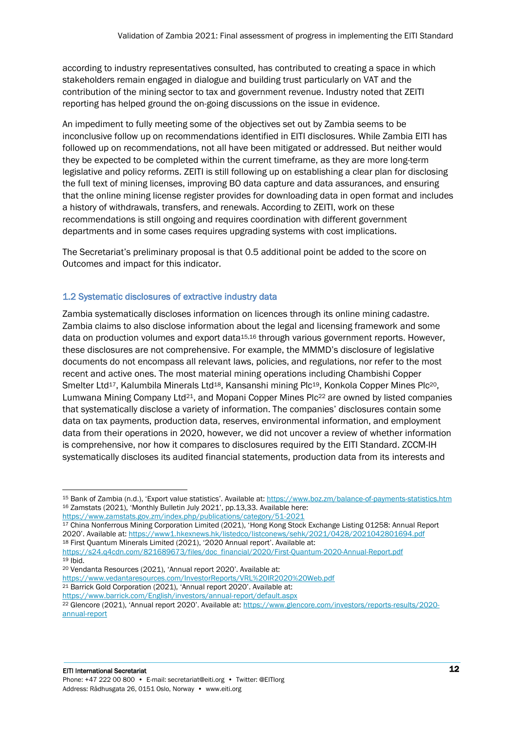according to industry representatives consulted, has contributed to creating a space in which stakeholders remain engaged in dialogue and building trust particularly on VAT and the contribution of the mining sector to tax and government revenue. Industry noted that ZEITI reporting has helped ground the on-going discussions on the issue in evidence.

An impediment to fully meeting some of the objectives set out by Zambia seems to be inconclusive follow up on recommendations identified in EITI disclosures. While Zambia EITI has followed up on recommendations, not all have been mitigated or addressed. But neither would they be expected to be completed within the current timeframe, as they are more long-term legislative and policy reforms. ZEITI is still following up on establishing a clear plan for disclosing the full text of mining licenses, improving BO data capture and data assurances, and ensuring that the online mining license register provides for downloading data in open format and includes a history of withdrawals, transfers, and renewals. According to ZEITI, work on these recommendations is still ongoing and requires coordination with different government departments and in some cases requires upgrading systems with cost implications.

The Secretariat's preliminary proposal is that 0.5 additional point be added to the score on Outcomes and impact for this indicator.

# 1.2 Systematic disclosures of extractive industry data

Zambia systematically discloses information on licences through its online mining cadastre. Zambia claims to also disclose information about the legal and licensing framework and some data on production volumes and export data15,16 through various government reports. However, these disclosures are not comprehensive. For example, the MMMD's disclosure of legislative documents do not encompass all relevant laws, policies, and regulations, nor refer to the most recent and active ones. The most material mining operations including Chambishi Copper Smelter Ltd<sup>17</sup>, Kalumbila Minerals Ltd<sup>18</sup>, Kansanshi mining Plc<sup>19</sup>, Konkola Copper Mines Plc<sup>20</sup>, Lumwana Mining Company Ltd21, and Mopani Copper Mines Plc<sup>22</sup> are owned by listed companies that systematically disclose a variety of information. The companies' disclosures contain some data on tax payments, production data, reserves, environmental information, and employment data from their operations in 2020, however, we did not uncover a review of whether information is comprehensive, nor how it compares to disclosures required by the EITI Standard. ZCCM-IH systematically discloses its audited financial statements, production data from its interests and

<sup>17</sup> China Nonferrous Mining Corporation Limited (2021), 'Hong Kong Stock Exchange Listing 01258: Annual Report 2020'. Available at: <https://www1.hkexnews.hk/listedco/listconews/sehk/2021/0428/2021042801694.pdf> <sup>18</sup> First Quantum Minerals Limited (2021), '2020 Annual report'. Available at:

[https://s24.q4cdn.com/821689673/files/doc\\_financial/2020/First-Quantum-2020-Annual-Report.pdf](https://s24.q4cdn.com/821689673/files/doc_financial/2020/First-Quantum-2020-Annual-Report.pdf)  $19$  Ibid.

<https://www.vedantaresources.com/InvestorReports/VRL%20IR2020%20Web.pdf> <sup>21</sup> Barrick Gold Corporation (2021), 'Annual report 2020'. Available at:

<https://www.barrick.com/English/investors/annual-report/default.aspx>

<sup>22</sup> Glencore (2021), 'Annual report 2020'. Available at: [https://www.glencore.com/investors/reports-results/2020](https://www.glencore.com/investors/reports-results/2020-annual-report) [annual-report](https://www.glencore.com/investors/reports-results/2020-annual-report)

<sup>15</sup> Bank of Zambia (n.d.), 'Export value statistics'. Available at: <https://www.boz.zm/balance-of-payments-statistics.htm> <sup>16</sup> Zamstats (2021), 'Monthly Bulletin July 2021', pp.13,33. Available here:

<https://www.zamstats.gov.zm/index.php/publications/category/51-2021>

<sup>20</sup> Vendanta Resources (2021), 'Annual report 2020'. Available at: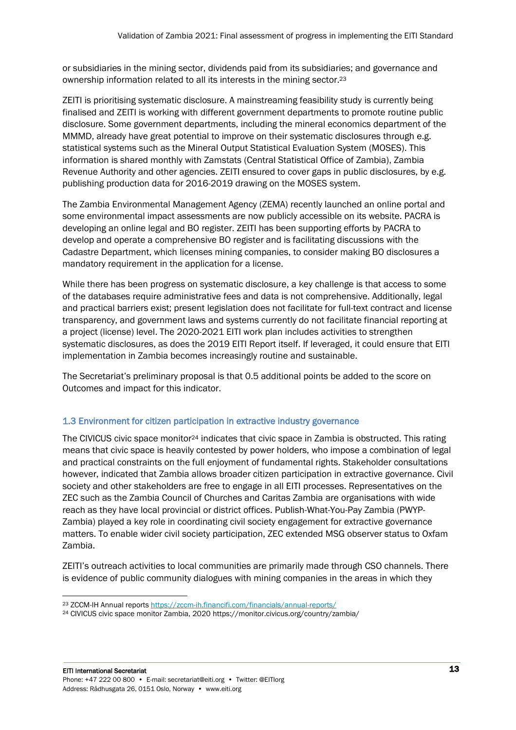or subsidiaries in the mining sector, dividends paid from its subsidiaries; and governance and ownership information related to all its interests in the mining sector. 23

ZEITI is prioritising systematic disclosure. A mainstreaming feasibility study is currently being finalised and ZEITI is working with different government departments to promote routine public disclosure. Some government departments, including the mineral economics department of the MMMD, already have great potential to improve on their systematic disclosures through e.g. statistical systems such as the Mineral Output Statistical Evaluation System (MOSES). This information is shared monthly with Zamstats (Central Statistical Office of Zambia), Zambia Revenue Authority and other agencies. ZEITI ensured to cover gaps in public disclosures, by e.g. publishing production data for 2016-2019 drawing on the MOSES system.

The Zambia Environmental Management Agency (ZEMA) recently launched an online portal and some environmental impact assessments are now publicly accessible on its website. PACRA is developing an online legal and BO register. ZEITI has been supporting efforts by PACRA to develop and operate a comprehensive BO register and is facilitating discussions with the Cadastre Department, which licenses mining companies, to consider making BO disclosures a mandatory requirement in the application for a license.

While there has been progress on systematic disclosure, a key challenge is that access to some of the databases require administrative fees and data is not comprehensive. Additionally, legal and practical barriers exist; present legislation does not facilitate for full-text contract and license transparency, and government laws and systems currently do not facilitate financial reporting at a project (license) level. The 2020-2021 EITI work plan includes activities to strengthen systematic disclosures, as does the 2019 EITI Report itself. If leveraged, it could ensure that EITI implementation in Zambia becomes increasingly routine and sustainable.

The Secretariat's preliminary proposal is that 0.5 additional points be added to the score on Outcomes and impact for this indicator.

# 1.3 Environment for citizen participation in extractive industry governance

The CIVICUS civic space monitor<sup>24</sup> indicates that civic space in Zambia is obstructed. This rating means that civic space is heavily contested by power holders, who impose a combination of legal and practical constraints on the full enjoyment of fundamental rights. Stakeholder consultations however, indicated that Zambia allows broader citizen participation in extractive governance. Civil society and other stakeholders are free to engage in all EITI processes. Representatives on the ZEC such as the Zambia Council of Churches and Caritas Zambia are organisations with wide reach as they have local provincial or district offices. Publish-What-You-Pay Zambia (PWYP-Zambia) played a key role in coordinating civil society engagement for extractive governance matters. To enable wider civil society participation, ZEC extended MSG observer status to Oxfam Zambia.

ZEITI's outreach activities to local communities are primarily made through CSO channels. There is evidence of public community dialogues with mining companies in the areas in which they

<sup>23</sup> ZCCM-IH Annual reports<https://zccm-ih.financifi.com/financials/annual-reports/>

<sup>24</sup> CIVICUS civic space monitor Zambia, 2020 https://monitor.civicus.org/country/zambia/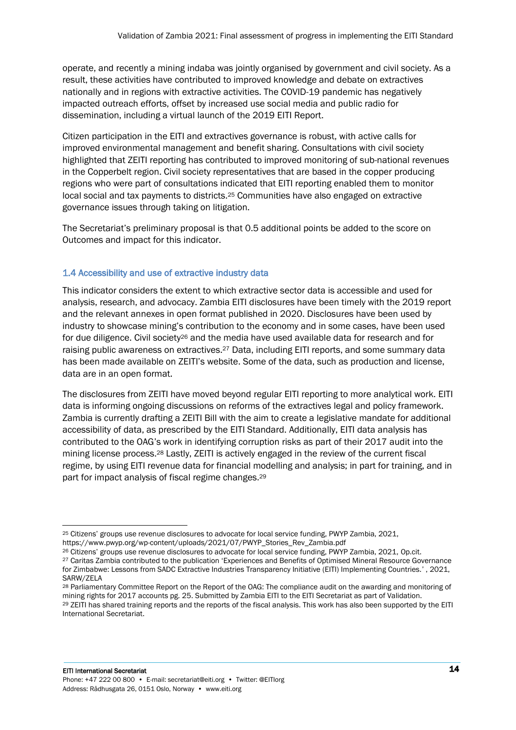operate, and recently a mining indaba was jointly organised by government and civil society. As a result, these activities have contributed to improved knowledge and debate on extractives nationally and in regions with extractive activities. The COVID-19 pandemic has negatively impacted outreach efforts, offset by increased use social media and public radio for dissemination, including a virtual launch of the 2019 EITI Report.

Citizen participation in the EITI and extractives governance is robust, with active calls for improved environmental management and benefit sharing. Consultations with civil society highlighted that ZEITI reporting has contributed to improved monitoring of sub-national revenues in the Copperbelt region. Civil society representatives that are based in the copper producing regions who were part of consultations indicated that EITI reporting enabled them to monitor local social and tax payments to districts.<sup>25</sup> Communities have also engaged on extractive governance issues through taking on litigation.

The Secretariat's preliminary proposal is that 0.5 additional points be added to the score on Outcomes and impact for this indicator.

# 1.4 Accessibility and use of extractive industry data

This indicator considers the extent to which extractive sector data is accessible and used for analysis, research, and advocacy. Zambia EITI disclosures have been timely with the 2019 report and the relevant annexes in open format published in 2020. Disclosures have been used by industry to showcase mining's contribution to the economy and in some cases, have been used for due diligence. Civil society<sup>26</sup> and the media have used available data for research and for raising public awareness on extractives.<sup>27</sup> Data, including EITI reports, and some summary data has been made available on ZEITI's website. Some of the data, such as production and license, data are in an open format.

The disclosures from ZEITI have moved beyond regular EITI reporting to more analytical work. EITI data is informing ongoing discussions on reforms of the extractives legal and policy framework. Zambia is currently drafting a ZEITI Bill with the aim to create a legislative mandate for additional accessibility of data, as prescribed by the EITI Standard. Additionally, EITI data analysis has contributed to the OAG's work in identifying corruption risks as part of their 2017 audit into the mining license process. <sup>28</sup> Lastly, ZEITI is actively engaged in the review of the current fiscal regime, by using EITI revenue data for financial modelling and analysis; in part for training, and in part for impact analysis of fiscal regime changes. 29

<sup>25</sup> Citizens' groups use revenue disclosures to advocate for local service funding, PWYP Zambia, 2021,

https://www.pwyp.org/wp-content/uploads/2021/07/PWYP\_Stories\_Rev\_Zambia.pdf

<sup>26</sup> Citizens' groups use revenue disclosures to advocate for local service funding, PWYP Zambia, 2021, Op.cit.

<sup>&</sup>lt;sup>27</sup> Caritas Zambia contributed to the publication 'Experiences and Benefits of Optimised Mineral Resource Governance for Zimbabwe: Lessons from SADC Extractive Industries Transparency Initiative (EITI) Implementing Countries.' , 2021, SARW/ZELA

<sup>28</sup> Parliamentary Committee Report on the Report of the OAG: The compliance audit on the awarding and monitoring of mining rights for 2017 accounts pg. 25. Submitted by Zambia EITI to the EITI Secretariat as part of Validation. <sup>29</sup> ZEITI has shared training reports and the reports of the fiscal analysis. This work has also been supported by the EITI International Secretariat.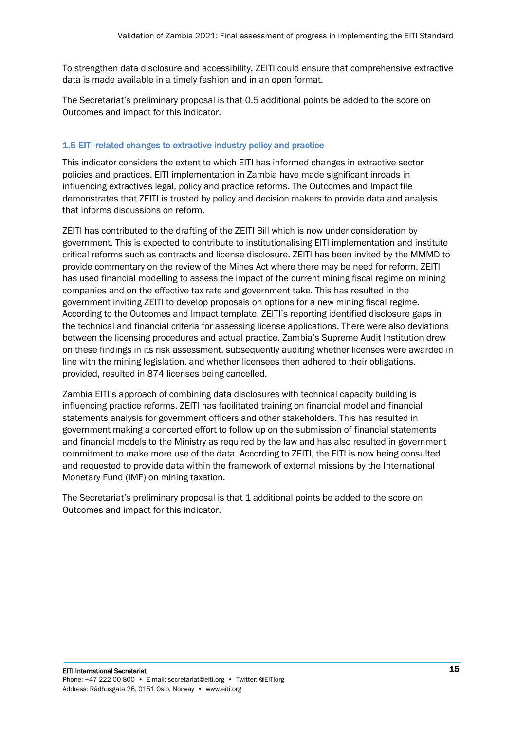To strengthen data disclosure and accessibility, ZEITI could ensure that comprehensive extractive data is made available in a timely fashion and in an open format.

The Secretariat's preliminary proposal is that 0.5 additional points be added to the score on Outcomes and impact for this indicator.

## 1.5 EITI-related changes to extractive industry policy and practice

This indicator considers the extent to which EITI has informed changes in extractive sector policies and practices. EITI implementation in Zambia have made significant inroads in influencing extractives legal, policy and practice reforms. The Outcomes and Impact file demonstrates that ZEITI is trusted by policy and decision makers to provide data and analysis that informs discussions on reform.

ZEITI has contributed to the drafting of the ZEITI Bill which is now under consideration by government. This is expected to contribute to institutionalising EITI implementation and institute critical reforms such as contracts and license disclosure. ZEITI has been invited by the MMMD to provide commentary on the review of the Mines Act where there may be need for reform. ZEITI has used financial modelling to assess the impact of the current mining fiscal regime on mining companies and on the effective tax rate and government take. This has resulted in the government inviting ZEITI to develop proposals on options for a new mining fiscal regime. According to the Outcomes and Impact template, ZEITI's reporting identified disclosure gaps in the technical and financial criteria for assessing license applications. There were also deviations between the licensing procedures and actual practice. Zambia's Supreme Audit Institution drew on these findings in its risk assessment, subsequently auditing whether licenses were awarded in line with the mining legislation, and whether licensees then adhered to their obligations. provided, resulted in 874 licenses being cancelled.

Zambia EITI's approach of combining data disclosures with technical capacity building is influencing practice reforms. ZEITI has facilitated training on financial model and financial statements analysis for government officers and other stakeholders. This has resulted in government making a concerted effort to follow up on the submission of financial statements and financial models to the Ministry as required by the law and has also resulted in government commitment to make more use of the data. According to ZEITI, the EITI is now being consulted and requested to provide data within the framework of external missions by the International Monetary Fund (IMF) on mining taxation.

The Secretariat's preliminary proposal is that 1 additional points be added to the score on Outcomes and impact for this indicator.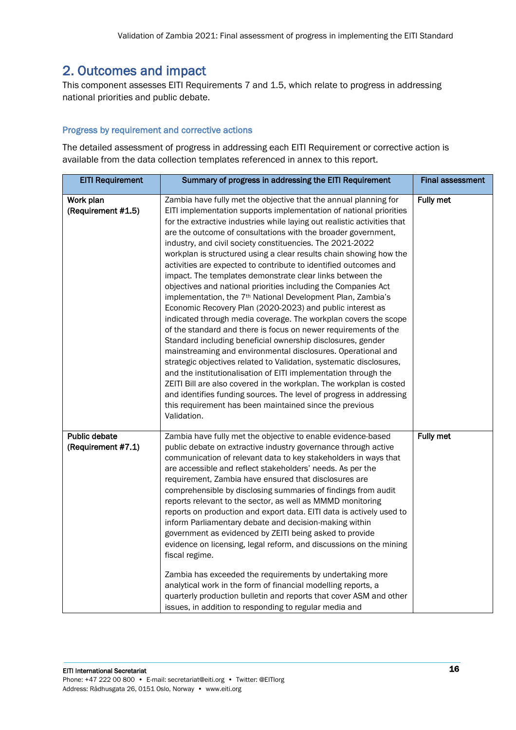# <span id="page-15-0"></span>2. Outcomes and impact

This component assesses EITI Requirements 7 and 1.5, which relate to progress in addressing national priorities and public debate.

# Progress by requirement and corrective actions

| <b>EITI Requirement</b>             | Summary of progress in addressing the EITI Requirement                                                                                                                                                                                                                                                                                                                                                                                                                                                                                                                                                                                                                                                                                                                                                                                                                                                                                                                                                                                                                                                                                                                                                                                                                                                                                                                                                   | <b>Final assessment</b> |
|-------------------------------------|----------------------------------------------------------------------------------------------------------------------------------------------------------------------------------------------------------------------------------------------------------------------------------------------------------------------------------------------------------------------------------------------------------------------------------------------------------------------------------------------------------------------------------------------------------------------------------------------------------------------------------------------------------------------------------------------------------------------------------------------------------------------------------------------------------------------------------------------------------------------------------------------------------------------------------------------------------------------------------------------------------------------------------------------------------------------------------------------------------------------------------------------------------------------------------------------------------------------------------------------------------------------------------------------------------------------------------------------------------------------------------------------------------|-------------------------|
| Work plan<br>(Requirement #1.5)     | Zambia have fully met the objective that the annual planning for<br>EITI implementation supports implementation of national priorities<br>for the extractive industries while laying out realistic activities that<br>are the outcome of consultations with the broader government,<br>industry, and civil society constituencies. The 2021-2022<br>workplan is structured using a clear results chain showing how the<br>activities are expected to contribute to identified outcomes and<br>impact. The templates demonstrate clear links between the<br>objectives and national priorities including the Companies Act<br>implementation, the 7 <sup>th</sup> National Development Plan, Zambia's<br>Economic Recovery Plan (2020-2023) and public interest as<br>indicated through media coverage. The workplan covers the scope<br>of the standard and there is focus on newer requirements of the<br>Standard including beneficial ownership disclosures, gender<br>mainstreaming and environmental disclosures. Operational and<br>strategic objectives related to Validation, systematic disclosures,<br>and the institutionalisation of EITI implementation through the<br>ZEITI Bill are also covered in the workplan. The workplan is costed<br>and identifies funding sources. The level of progress in addressing<br>this requirement has been maintained since the previous<br>Validation. | Fully met               |
| Public debate<br>(Requirement #7.1) | Zambia have fully met the objective to enable evidence-based<br>public debate on extractive industry governance through active<br>communication of relevant data to key stakeholders in ways that<br>are accessible and reflect stakeholders' needs. As per the<br>requirement, Zambia have ensured that disclosures are<br>comprehensible by disclosing summaries of findings from audit<br>reports relevant to the sector, as well as MMMD monitoring<br>reports on production and export data. EITI data is actively used to<br>inform Parliamentary debate and decision-making within<br>government as evidenced by ZEITI being asked to provide<br>evidence on licensing, legal reform, and discussions on the mining<br>fiscal regime.<br>Zambia has exceeded the requirements by undertaking more<br>analytical work in the form of financial modelling reports, a<br>quarterly production bulletin and reports that cover ASM and other<br>issues, in addition to responding to regular media and                                                                                                                                                                                                                                                                                                                                                                                                | Fully met               |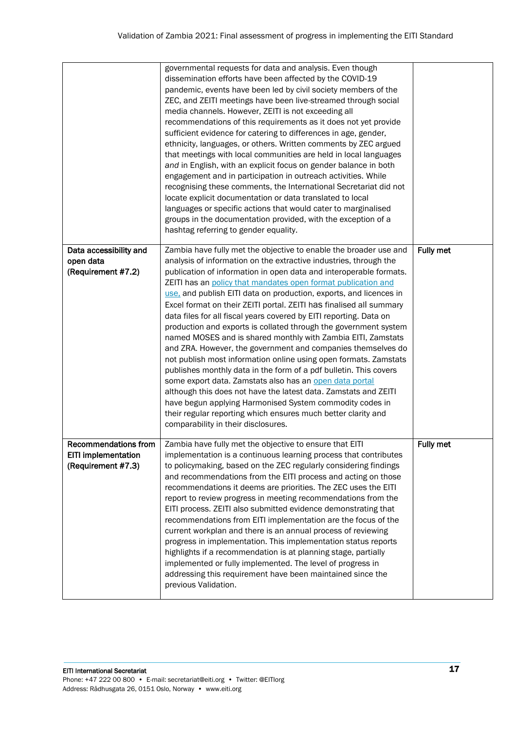|                                                                                 | governmental requests for data and analysis. Even though<br>dissemination efforts have been affected by the COVID-19<br>pandemic, events have been led by civil society members of the<br>ZEC, and ZEITI meetings have been live-streamed through social<br>media channels. However, ZEITI is not exceeding all<br>recommendations of this requirements as it does not yet provide<br>sufficient evidence for catering to differences in age, gender,<br>ethnicity, languages, or others. Written comments by ZEC argued<br>that meetings with local communities are held in local languages<br>and in English, with an explicit focus on gender balance in both<br>engagement and in participation in outreach activities. While<br>recognising these comments, the International Secretariat did not<br>locate explicit documentation or data translated to local<br>languages or specific actions that would cater to marginalised<br>groups in the documentation provided, with the exception of a<br>hashtag referring to gender equality.                                                                                                 |           |
|---------------------------------------------------------------------------------|-------------------------------------------------------------------------------------------------------------------------------------------------------------------------------------------------------------------------------------------------------------------------------------------------------------------------------------------------------------------------------------------------------------------------------------------------------------------------------------------------------------------------------------------------------------------------------------------------------------------------------------------------------------------------------------------------------------------------------------------------------------------------------------------------------------------------------------------------------------------------------------------------------------------------------------------------------------------------------------------------------------------------------------------------------------------------------------------------------------------------------------------------|-----------|
| Data accessibility and<br>open data<br>(Requirement #7.2)                       | Zambia have fully met the objective to enable the broader use and<br>analysis of information on the extractive industries, through the<br>publication of information in open data and interoperable formats.<br>ZEITI has an policy that mandates open format publication and<br>use, and publish EITI data on production, exports, and licences in<br>Excel format on their ZEITI portal. ZEITI has finalised all summary<br>data files for all fiscal years covered by EITI reporting. Data on<br>production and exports is collated through the government system<br>named MOSES and is shared monthly with Zambia EITI, Zamstats<br>and ZRA. However, the government and companies themselves do<br>not publish most information online using open formats. Zamstats<br>publishes monthly data in the form of a pdf bulletin. This covers<br>some export data. Zamstats also has an open data portal<br>although this does not have the latest data. Zamstats and ZEITI<br>have begun applying Harmonised System commodity codes in<br>their regular reporting which ensures much better clarity and<br>comparability in their disclosures. | Fully met |
| <b>Recommendations from</b><br><b>EITI implementation</b><br>(Requirement #7.3) | Zambia have fully met the objective to ensure that EITI<br>implementation is a continuous learning process that contributes<br>to policymaking, based on the ZEC regularly considering findings<br>and recommendations from the EITI process and acting on those<br>recommendations it deems are priorities. The ZEC uses the EITI<br>report to review progress in meeting recommendations from the<br>EITI process. ZEITI also submitted evidence demonstrating that<br>recommendations from EITI implementation are the focus of the<br>current workplan and there is an annual process of reviewing<br>progress in implementation. This implementation status reports<br>highlights if a recommendation is at planning stage, partially<br>implemented or fully implemented. The level of progress in<br>addressing this requirement have been maintained since the<br>previous Validation.                                                                                                                                                                                                                                                  | Fully met |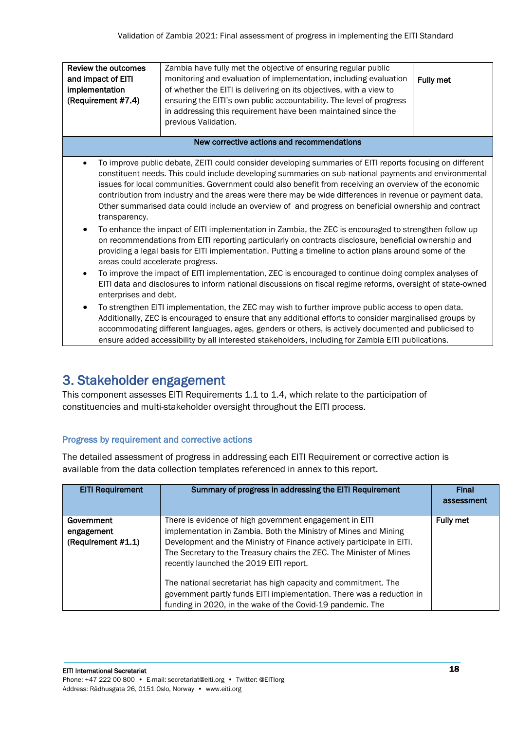| Review the outcomes<br>and impact of EITI<br>implementation<br>(Requirement #7.4)                                                                                                                                                                                                                                                                                                                                                                                                                                                                                                                                                       | Zambia have fully met the objective of ensuring regular public<br>monitoring and evaluation of implementation, including evaluation<br>of whether the EITI is delivering on its objectives, with a view to<br>ensuring the EITI's own public accountability. The level of progress<br>in addressing this requirement have been maintained since the<br>previous Validation.                                                                                                                                                                     | Fully met |
|-----------------------------------------------------------------------------------------------------------------------------------------------------------------------------------------------------------------------------------------------------------------------------------------------------------------------------------------------------------------------------------------------------------------------------------------------------------------------------------------------------------------------------------------------------------------------------------------------------------------------------------------|-------------------------------------------------------------------------------------------------------------------------------------------------------------------------------------------------------------------------------------------------------------------------------------------------------------------------------------------------------------------------------------------------------------------------------------------------------------------------------------------------------------------------------------------------|-----------|
|                                                                                                                                                                                                                                                                                                                                                                                                                                                                                                                                                                                                                                         | New corrective actions and recommendations                                                                                                                                                                                                                                                                                                                                                                                                                                                                                                      |           |
| transparency.                                                                                                                                                                                                                                                                                                                                                                                                                                                                                                                                                                                                                           | To improve public debate, ZEITI could consider developing summaries of EITI reports focusing on different<br>constituent needs. This could include developing summaries on sub-national payments and environmental<br>issues for local communities. Government could also benefit from receiving an overview of the economic<br>contribution from industry and the areas were there may be wide differences in revenue or payment data.<br>Other summarised data could include an overview of and progress on beneficial ownership and contract |           |
| To enhance the impact of EITI implementation in Zambia, the ZEC is encouraged to strengthen follow up<br>$\bullet$<br>on recommendations from EITI reporting particularly on contracts disclosure, beneficial ownership and<br>providing a legal basis for EITI implementation. Putting a timeline to action plans around some of the<br>areas could accelerate progress.<br>To improve the impact of EITI implementation, ZEC is encouraged to continue doing complex analyses of<br>$\bullet$<br>EITI data and disclosures to inform national discussions on fiscal regime reforms, oversight of state-owned<br>enterprises and debt. |                                                                                                                                                                                                                                                                                                                                                                                                                                                                                                                                                 |           |
| To strengthen EITI implementation, the ZEC may wish to further improve public access to open data.<br>$\bullet$<br>Additionally, ZEC is encouraged to ensure that any additional efforts to consider marginalised groups by<br>accommodating different languages, ages, genders or others, is actively documented and publicised to<br>ensure added accessibility by all interested stakeholders, including for Zambia EITI publications.                                                                                                                                                                                               |                                                                                                                                                                                                                                                                                                                                                                                                                                                                                                                                                 |           |

# <span id="page-17-0"></span>3. Stakeholder engagement

This component assesses EITI Requirements 1.1 to 1.4, which relate to the participation of constituencies and multi-stakeholder oversight throughout the EITI process.

# Progress by requirement and corrective actions

| <b>EITI Requirement</b>                        | Summary of progress in addressing the EITI Requirement                                                                                                                                                                                                                                                                                                                                                                                                                                                                         | Final<br>assessment |
|------------------------------------------------|--------------------------------------------------------------------------------------------------------------------------------------------------------------------------------------------------------------------------------------------------------------------------------------------------------------------------------------------------------------------------------------------------------------------------------------------------------------------------------------------------------------------------------|---------------------|
| Government<br>engagement<br>(Requirement #1.1) | There is evidence of high government engagement in EITI<br>implementation in Zambia. Both the Ministry of Mines and Mining<br>Development and the Ministry of Finance actively participate in EITI.<br>The Secretary to the Treasury chairs the ZEC. The Minister of Mines<br>recently launched the 2019 EITI report.<br>The national secretariat has high capacity and commitment. The<br>government partly funds EITI implementation. There was a reduction in<br>funding in 2020, in the wake of the Covid-19 pandemic. The | <b>Fully met</b>    |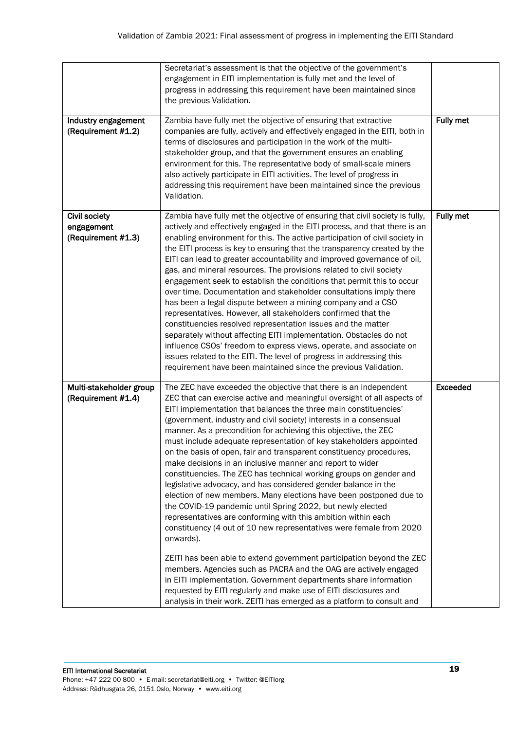|                                                          | Secretariat's assessment is that the objective of the government's<br>engagement in EITI implementation is fully met and the level of<br>progress in addressing this requirement have been maintained since<br>the previous Validation.                                                                                                                                                                                                                                                                                                                                                                                                                                                                                                                                                                                                                                                                                                                                                                                                                                                                                                                                                                                                                                                                                                                            |                 |
|----------------------------------------------------------|--------------------------------------------------------------------------------------------------------------------------------------------------------------------------------------------------------------------------------------------------------------------------------------------------------------------------------------------------------------------------------------------------------------------------------------------------------------------------------------------------------------------------------------------------------------------------------------------------------------------------------------------------------------------------------------------------------------------------------------------------------------------------------------------------------------------------------------------------------------------------------------------------------------------------------------------------------------------------------------------------------------------------------------------------------------------------------------------------------------------------------------------------------------------------------------------------------------------------------------------------------------------------------------------------------------------------------------------------------------------|-----------------|
| Industry engagement<br>(Requirement #1.2)                | Zambia have fully met the objective of ensuring that extractive<br>companies are fully, actively and effectively engaged in the EITI, both in<br>terms of disclosures and participation in the work of the multi-<br>stakeholder group, and that the government ensures an enabling<br>environment for this. The representative body of small-scale miners<br>also actively participate in EITI activities. The level of progress in<br>addressing this requirement have been maintained since the previous<br>Validation.                                                                                                                                                                                                                                                                                                                                                                                                                                                                                                                                                                                                                                                                                                                                                                                                                                         | Fully met       |
| <b>Civil society</b><br>engagement<br>(Requirement #1.3) | Zambia have fully met the objective of ensuring that civil society is fully,<br>actively and effectively engaged in the EITI process, and that there is an<br>enabling environment for this. The active participation of civil society in<br>the EITI process is key to ensuring that the transparency created by the<br>EITI can lead to greater accountability and improved governance of oil,<br>gas, and mineral resources. The provisions related to civil society<br>engagement seek to establish the conditions that permit this to occur<br>over time. Documentation and stakeholder consultations imply there<br>has been a legal dispute between a mining company and a CSO<br>representatives. However, all stakeholders confirmed that the<br>constituencies resolved representation issues and the matter<br>separately without affecting EITI implementation. Obstacles do not<br>influence CSOs' freedom to express views, operate, and associate on<br>issues related to the EITI. The level of progress in addressing this<br>requirement have been maintained since the previous Validation.                                                                                                                                                                                                                                                     | Fully met       |
| Multi-stakeholder group<br>(Requirement #1.4)            | The ZEC have exceeded the objective that there is an independent<br>ZEC that can exercise active and meaningful oversight of all aspects of<br>EITI implementation that balances the three main constituencies'<br>(government, industry and civil society) interests in a consensual<br>manner. As a precondition for achieving this objective, the ZEC<br>must include adequate representation of key stakeholders appointed<br>on the basis of open, fair and transparent constituency procedures,<br>make decisions in an inclusive manner and report to wider<br>constituencies. The ZEC has technical working groups on gender and<br>legislative advocacy, and has considered gender-balance in the<br>election of new members. Many elections have been postponed due to<br>the COVID-19 pandemic until Spring 2022, but newly elected<br>representatives are conforming with this ambition within each<br>constituency (4 out of 10 new representatives were female from 2020<br>onwards).<br>ZEITI has been able to extend government participation beyond the ZEC<br>members. Agencies such as PACRA and the OAG are actively engaged<br>in EITI implementation. Government departments share information<br>requested by EITI regularly and make use of EITI disclosures and<br>analysis in their work. ZEITI has emerged as a platform to consult and | <b>Exceeded</b> |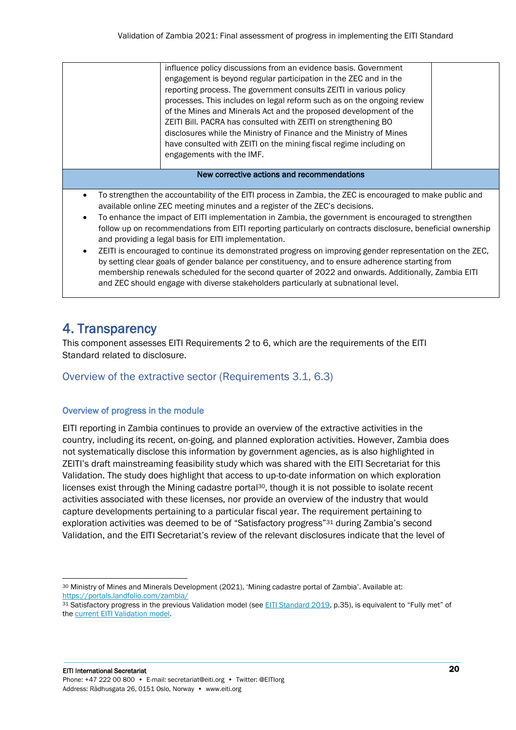|                                                                                                                                                                                         | influence policy discussions from an evidence basis. Government<br>engagement is beyond regular participation in the ZEC and in the<br>reporting process. The government consults ZEITI in various policy<br>processes. This includes on legal reform such as on the ongoing review<br>of the Mines and Minerals Act and the proposed development of the<br>ZEITI Bill. PACRA has consulted with ZEITI on strengthening BO<br>disclosures while the Ministry of Finance and the Ministry of Mines<br>have consulted with ZEITI on the mining fiscal regime including on<br>engagements with the IMF. |  |
|-----------------------------------------------------------------------------------------------------------------------------------------------------------------------------------------|------------------------------------------------------------------------------------------------------------------------------------------------------------------------------------------------------------------------------------------------------------------------------------------------------------------------------------------------------------------------------------------------------------------------------------------------------------------------------------------------------------------------------------------------------------------------------------------------------|--|
|                                                                                                                                                                                         | New corrective actions and recommendations                                                                                                                                                                                                                                                                                                                                                                                                                                                                                                                                                           |  |
|                                                                                                                                                                                         |                                                                                                                                                                                                                                                                                                                                                                                                                                                                                                                                                                                                      |  |
| To strengthen the accountability of the EITI process in Zambia, the ZEC is encouraged to make public and<br>available online ZEC meeting minutes and a register of the ZEC's decisions. |                                                                                                                                                                                                                                                                                                                                                                                                                                                                                                                                                                                                      |  |
| To enhance the impact of EITI implementation in Zambia, the government is encouraged to strengthen                                                                                      |                                                                                                                                                                                                                                                                                                                                                                                                                                                                                                                                                                                                      |  |
| follow up on recommendations from EITI reporting particularly on contracts disclosure, beneficial ownership<br>and providing a legal basis for EITI implementation.                     |                                                                                                                                                                                                                                                                                                                                                                                                                                                                                                                                                                                                      |  |
| ZEITI is encouraged to continue its demonstrated progress on improving gender representation on the ZEC,                                                                                |                                                                                                                                                                                                                                                                                                                                                                                                                                                                                                                                                                                                      |  |
| by setting clear goals of gender balance per constituency, and to ensure adherence starting from                                                                                        |                                                                                                                                                                                                                                                                                                                                                                                                                                                                                                                                                                                                      |  |
| membership renewals scheduled for the second quarter of 2022 and onwards. Additionally, Zambia EITI                                                                                     |                                                                                                                                                                                                                                                                                                                                                                                                                                                                                                                                                                                                      |  |
|                                                                                                                                                                                         | and ZEC should engage with diverse stakeholders particularly at subnational level.                                                                                                                                                                                                                                                                                                                                                                                                                                                                                                                   |  |

# <span id="page-19-0"></span>4. Transparency

This component assesses EITI Requirements 2 to 6, which are the requirements of the EITI Standard related to disclosure.

# <span id="page-19-1"></span>Overview of the extractive sector (Requirements 3.1, 6.3)

# Overview of progress in the module

EITI reporting in Zambia continues to provide an overview of the extractive activities in the country, including its recent, on-going, and planned exploration activities. However, Zambia does not systematically disclose this information by government agencies, as is also highlighted in ZEITI's draft mainstreaming feasibility study which was shared with the EITI Secretariat for this Validation. The study does highlight that access to up-to-date information on which exploration licenses exist through the Mining cadastre portal<sup>30</sup>, though it is not possible to isolate recent activities associated with these licenses, nor provide an overview of the industry that would capture developments pertaining to a particular fiscal year. The requirement pertaining to exploration activities was deemed to be of "Satisfactory progress"<sup>31</sup> during Zambia's second Validation, and the EITI Secretariat's review of the relevant disclosures indicate that the level of

<sup>30</sup> Ministry of Mines and Minerals Development (2021), 'Mining cadastre portal of Zambia'. Available at: <https://portals.landfolio.com/zambia/>

<sup>31</sup> Satisfactory progress in the previous Validation model (see [EITI Standard 2019,](https://eiti.org/document/eiti-standard-2019) p.35), is equivalent to "Fully met" of th[e current EITI Validation model.](https://eiti.org/document/2021-eiti-validation-guide)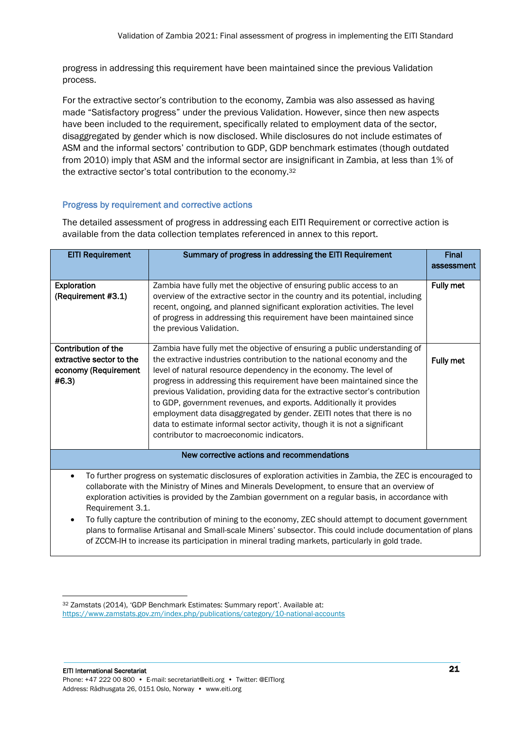progress in addressing this requirement have been maintained since the previous Validation process.

For the extractive sector's contribution to the economy, Zambia was also assessed as having made "Satisfactory progress" under the previous Validation. However, since then new aspects have been included to the requirement, specifically related to employment data of the sector, disaggregated by gender which is now disclosed. While disclosures do not include estimates of ASM and the informal sectors' contribution to GDP, GDP benchmark estimates (though outdated from 2010) imply that ASM and the informal sector are insignificant in Zambia, at less than 1% of the extractive sector's total contribution to the economy. 32

# Progress by requirement and corrective actions

| <b>EITI Requirement</b>                                                                                                                                                                                                                                                                                                                                                                                                                                                                                                                                                                                                                                                 | Summary of progress in addressing the EITI Requirement                                                                                                                                                                                                                                                                                                                                                                                                                                                                                                                                                                                                     | <b>Final</b><br>assessment |
|-------------------------------------------------------------------------------------------------------------------------------------------------------------------------------------------------------------------------------------------------------------------------------------------------------------------------------------------------------------------------------------------------------------------------------------------------------------------------------------------------------------------------------------------------------------------------------------------------------------------------------------------------------------------------|------------------------------------------------------------------------------------------------------------------------------------------------------------------------------------------------------------------------------------------------------------------------------------------------------------------------------------------------------------------------------------------------------------------------------------------------------------------------------------------------------------------------------------------------------------------------------------------------------------------------------------------------------------|----------------------------|
| Exploration<br>(Requirement #3.1)                                                                                                                                                                                                                                                                                                                                                                                                                                                                                                                                                                                                                                       | Zambia have fully met the objective of ensuring public access to an<br>overview of the extractive sector in the country and its potential, including<br>recent, ongoing, and planned significant exploration activities. The level<br>of progress in addressing this requirement have been maintained since<br>the previous Validation.                                                                                                                                                                                                                                                                                                                    | <b>Fully met</b>           |
| Contribution of the<br>extractive sector to the<br>economy (Requirement<br>#6.3)                                                                                                                                                                                                                                                                                                                                                                                                                                                                                                                                                                                        | Zambia have fully met the objective of ensuring a public understanding of<br>the extractive industries contribution to the national economy and the<br>level of natural resource dependency in the economy. The level of<br>progress in addressing this requirement have been maintained since the<br>previous Validation, providing data for the extractive sector's contribution<br>to GDP, government revenues, and exports. Additionally it provides<br>employment data disaggregated by gender. ZEITI notes that there is no<br>data to estimate informal sector activity, though it is not a significant<br>contributor to macroeconomic indicators. | Fully met                  |
|                                                                                                                                                                                                                                                                                                                                                                                                                                                                                                                                                                                                                                                                         | New corrective actions and recommendations                                                                                                                                                                                                                                                                                                                                                                                                                                                                                                                                                                                                                 |                            |
| To further progress on systematic disclosures of exploration activities in Zambia, the ZEC is encouraged to<br>٠<br>collaborate with the Ministry of Mines and Minerals Development, to ensure that an overview of<br>exploration activities is provided by the Zambian government on a regular basis, in accordance with<br>Requirement 3.1.<br>To fully capture the contribution of mining to the economy, ZEC should attempt to document government<br>plans to formalise Artisanal and Small-scale Miners' subsector. This could include documentation of plans<br>of ZCCM-IH to increase its participation in mineral trading markets, particularly in gold trade. |                                                                                                                                                                                                                                                                                                                                                                                                                                                                                                                                                                                                                                                            |                            |

<sup>32</sup> Zamstats (2014), 'GDP Benchmark Estimates: Summary report'. Available at: <https://www.zamstats.gov.zm/index.php/publications/category/10-national-accounts>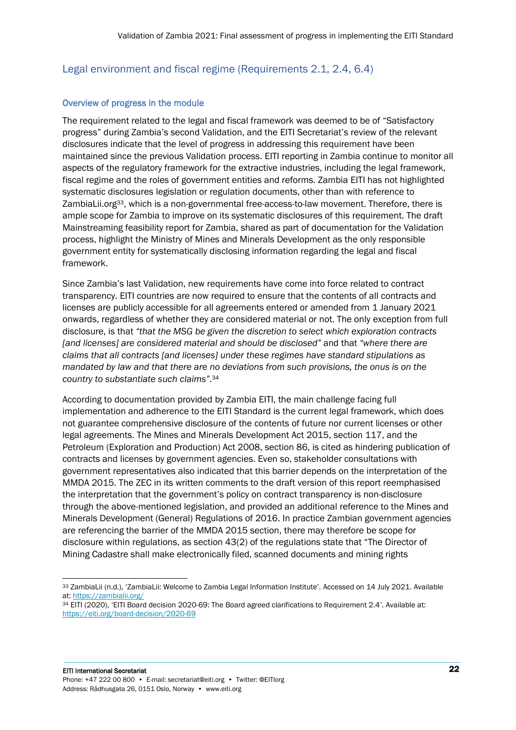# <span id="page-21-0"></span>Legal environment and fiscal regime (Requirements 2.1, 2.4, 6.4)

## Overview of progress in the module

The requirement related to the legal and fiscal framework was deemed to be of "Satisfactory progress" during Zambia's second Validation, and the EITI Secretariat's review of the relevant disclosures indicate that the level of progress in addressing this requirement have been maintained since the previous Validation process. EITI reporting in Zambia continue to monitor all aspects of the regulatory framework for the extractive industries, including the legal framework, fiscal regime and the roles of government entities and reforms. Zambia EITI has not highlighted systematic disclosures legislation or regulation documents, other than with reference to ZambiaLii.org<sup>33</sup>, which is a non-governmental free-access-to-law movement. Therefore, there is ample scope for Zambia to improve on its systematic disclosures of this requirement. The draft Mainstreaming feasibility report for Zambia, shared as part of documentation for the Validation process, highlight the Ministry of Mines and Minerals Development as the only responsible government entity for systematically disclosing information regarding the legal and fiscal framework.

Since Zambia's last Validation, new requirements have come into force related to contract transparency. EITI countries are now required to ensure that the contents of all contracts and licenses are publicly accessible for all agreements entered or amended from 1 January 2021 onwards, regardless of whether they are considered material or not. The only exception from full disclosure, is that *"that the MSG be given the discretion to select which exploration contracts [and licenses] are considered material and should be disclosed"* and that *"where there are claims that all contracts [and licenses] under these regimes have standard stipulations as mandated by law and that there are no deviations from such provisions, the onus is on the country to substantiate such claims"*. 34

According to documentation provided by Zambia EITI, the main challenge facing full implementation and adherence to the EITI Standard is the current legal framework, which does not guarantee comprehensive disclosure of the contents of future nor current licenses or other legal agreements. The Mines and Minerals Development Act 2015, section 117, and the Petroleum (Exploration and Production) Act 2008, section 86, is cited as hindering publication of contracts and licenses by government agencies. Even so, stakeholder consultations with government representatives also indicated that this barrier depends on the interpretation of the MMDA 2015. The ZEC in its written comments to the draft version of this report reemphasised the interpretation that the government's policy on contract transparency is non-disclosure through the above-mentioned legislation, and provided an additional reference to the Mines and Minerals Development (General) Regulations of 2016. In practice Zambian government agencies are referencing the barrier of the MMDA 2015 section, there may therefore be scope for disclosure within regulations, as section 43(2) of the regulations state that "The Director of Mining Cadastre shall make electronically filed, scanned documents and mining rights

<sup>33</sup> ZambiaLii (n.d.), 'ZambiaLii: Welcome to Zambia Legal Information Institute'. Accessed on 14 July 2021. Available at:<https://zambialii.org/>

<sup>34</sup> EITI (2020), 'EITI Board decision 2020-69: The Board agreed clarifications to Requirement 2.4'. Available at: <https://eiti.org/board-decision/2020-69>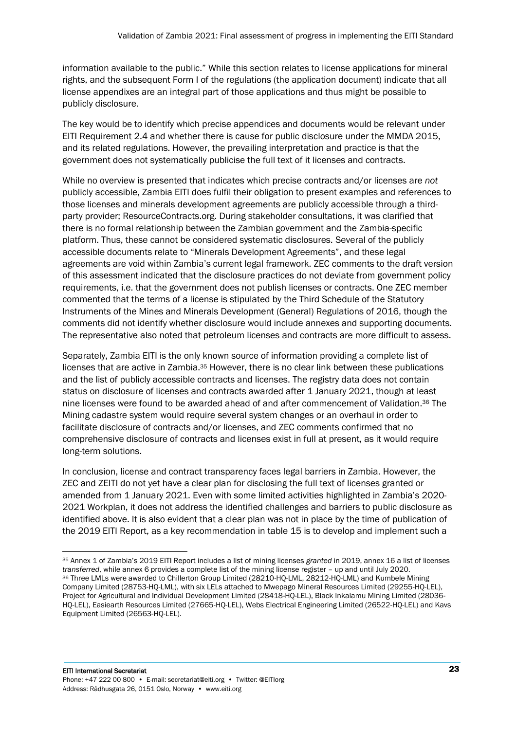information available to the public." While this section relates to license applications for mineral rights, and the subsequent Form I of the regulations (the application document) indicate that all license appendixes are an integral part of those applications and thus might be possible to publicly disclosure.

The key would be to identify which precise appendices and documents would be relevant under EITI Requirement 2.4 and whether there is cause for public disclosure under the MMDA 2015, and its related regulations. However, the prevailing interpretation and practice is that the government does not systematically publicise the full text of it licenses and contracts.

While no overview is presented that indicates which precise contracts and/or licenses are *not* publicly accessible, Zambia EITI does fulfil their obligation to present examples and references to those licenses and minerals development agreements are publicly accessible through a thirdparty provider; ResourceContracts.org. During stakeholder consultations, it was clarified that there is no formal relationship between the Zambian government and the Zambia-specific platform. Thus, these cannot be considered systematic disclosures. Several of the publicly accessible documents relate to "Minerals Development Agreements", and these legal agreements are void within Zambia's current legal framework. ZEC comments to the draft version of this assessment indicated that the disclosure practices do not deviate from government policy requirements, i.e. that the government does not publish licenses or contracts. One ZEC member commented that the terms of a license is stipulated by the Third Schedule of the Statutory Instruments of the Mines and Minerals Development (General) Regulations of 2016, though the comments did not identify whether disclosure would include annexes and supporting documents. The representative also noted that petroleum licenses and contracts are more difficult to assess.

Separately, Zambia EITI is the only known source of information providing a complete list of licenses that are active in Zambia.<sup>35</sup> However, there is no clear link between these publications and the list of publicly accessible contracts and licenses. The registry data does not contain status on disclosure of licenses and contracts awarded after 1 January 2021, though at least nine licenses were found to be awarded ahead of and after commencement of Validation. <sup>36</sup> The Mining cadastre system would require several system changes or an overhaul in order to facilitate disclosure of contracts and/or licenses, and ZEC comments confirmed that no comprehensive disclosure of contracts and licenses exist in full at present, as it would require long-term solutions.

In conclusion, license and contract transparency faces legal barriers in Zambia. However, the ZEC and ZEITI do not yet have a clear plan for disclosing the full text of licenses granted or amended from 1 January 2021. Even with some limited activities highlighted in Zambia's 2020- 2021 Workplan, it does not address the identified challenges and barriers to public disclosure as identified above. It is also evident that a clear plan was not in place by the time of publication of the 2019 EITI Report, as a key recommendation in table 15 is to develop and implement such a

<sup>35</sup> Annex 1 of Zambia's 2019 EITI Report includes a list of mining licenses *granted* in 2019, annex 16 a list of licenses *transferred*, while annex 6 provides a complete list of the mining license register – up and until July 2020. <sup>36</sup> Three LMLs were awarded to Chillerton Group Limited (28210-HQ-LML, 28212-HQ-LML) and Kumbele Mining Company Limited (28753-HQ-LML), with six LELs attached to Mwepago Mineral Resources Limited (29255-HQ-LEL), Project for Agricultural and Individual Development Limited (28418-HQ-LEL), Black Inkalamu Mining Limited (28036- HQ-LEL), Easiearth Resources Limited (27665-HQ-LEL), Webs Electrical Engineering Limited (26522-HQ-LEL) and Kavs Equipment Limited (26563-HQ-LEL).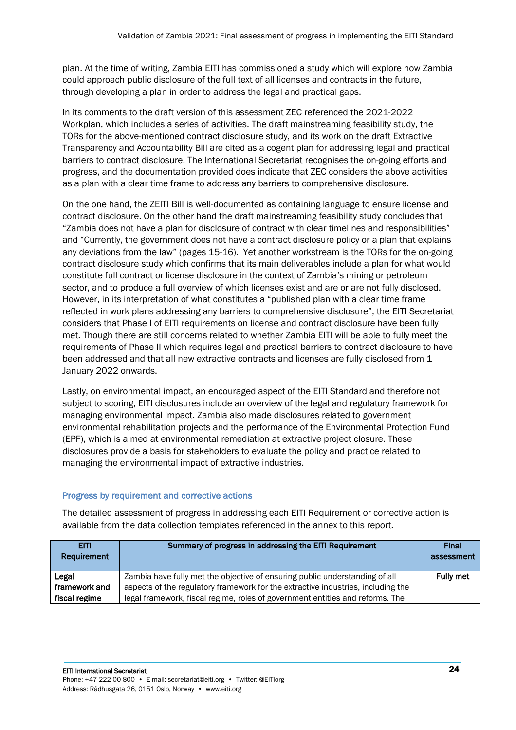plan. At the time of writing, Zambia EITI has commissioned a study which will explore how Zambia could approach public disclosure of the full text of all licenses and contracts in the future, through developing a plan in order to address the legal and practical gaps.

In its comments to the draft version of this assessment ZEC referenced the 2021-2022 Workplan, which includes a series of activities. The draft mainstreaming feasibility study, the TORs for the above-mentioned contract disclosure study, and its work on the draft Extractive Transparency and Accountability Bill are cited as a cogent plan for addressing legal and practical barriers to contract disclosure. The International Secretariat recognises the on-going efforts and progress, and the documentation provided does indicate that ZEC considers the above activities as a plan with a clear time frame to address any barriers to comprehensive disclosure.

On the one hand, the ZEITI Bill is well-documented as containing language to ensure license and contract disclosure. On the other hand the draft mainstreaming feasibility study concludes that "Zambia does not have a plan for disclosure of contract with clear timelines and responsibilities" and "Currently, the government does not have a contract disclosure policy or a plan that explains any deviations from the law" (pages 15-16). Yet another workstream is the TORs for the on-going contract disclosure study which confirms that its main deliverables include a plan for what would constitute full contract or license disclosure in the context of Zambia's mining or petroleum sector, and to produce a full overview of which licenses exist and are or are not fully disclosed. However, in its interpretation of what constitutes a "published plan with a clear time frame reflected in work plans addressing any barriers to comprehensive disclosure", the EITI Secretariat considers that Phase I of EITI requirements on license and contract disclosure have been fully met. Though there are still concerns related to whether Zambia EITI will be able to fully meet the requirements of Phase II which requires legal and practical barriers to contract disclosure to have been addressed and that all new extractive contracts and licenses are fully disclosed from 1 January 2022 onwards.

Lastly, on environmental impact, an encouraged aspect of the EITI Standard and therefore not subject to scoring, EITI disclosures include an overview of the legal and regulatory framework for managing environmental impact. Zambia also made disclosures related to government environmental rehabilitation projects and the performance of the Environmental Protection Fund (EPF), which is aimed at environmental remediation at extractive project closure. These disclosures provide a basis for stakeholders to evaluate the policy and practice related to managing the environmental impact of extractive industries.

# Progress by requirement and corrective actions

| <b>EITI</b><br>Requirement | Summary of progress in addressing the EITI Requirement                           | <b>Final</b><br>assessment |
|----------------------------|----------------------------------------------------------------------------------|----------------------------|
| Legal                      | Zambia have fully met the objective of ensuring public understanding of all      | <b>Fully met</b>           |
| framework and              | aspects of the regulatory framework for the extractive industries, including the |                            |
| fiscal regime              | legal framework, fiscal regime, roles of government entities and reforms. The    |                            |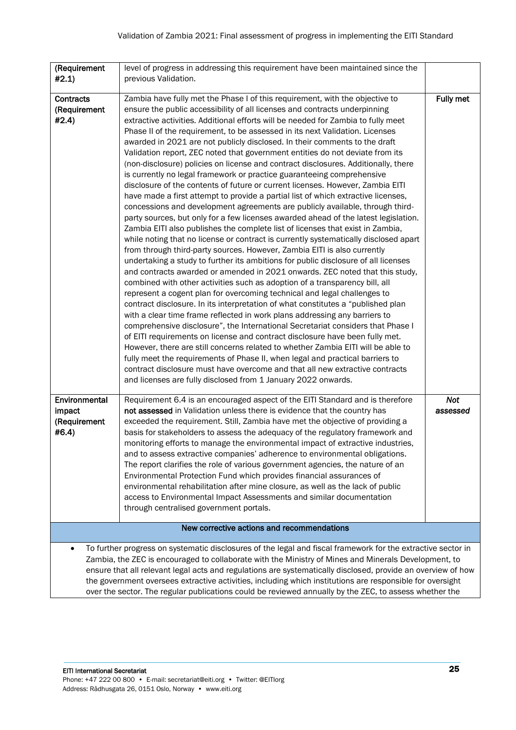| (Requirement<br>#2.1)                                                                                                                                                                                                                                                                                                                                                                                                                                                                                                                                       | level of progress in addressing this requirement have been maintained since the<br>previous Validation.                                                                                                                                                                                                                                                                                                                                                                                                                                                                                                                                                                                                                                                                                                                                                                                                                                                                                                                                                                                                                                                                                                                                                                                                                                                                                                                                                                                                                                                                                                                                                                                                                                                                                                                                                                                                                                                                                                                                                                                                                                                                                                                                                         |                        |
|-------------------------------------------------------------------------------------------------------------------------------------------------------------------------------------------------------------------------------------------------------------------------------------------------------------------------------------------------------------------------------------------------------------------------------------------------------------------------------------------------------------------------------------------------------------|-----------------------------------------------------------------------------------------------------------------------------------------------------------------------------------------------------------------------------------------------------------------------------------------------------------------------------------------------------------------------------------------------------------------------------------------------------------------------------------------------------------------------------------------------------------------------------------------------------------------------------------------------------------------------------------------------------------------------------------------------------------------------------------------------------------------------------------------------------------------------------------------------------------------------------------------------------------------------------------------------------------------------------------------------------------------------------------------------------------------------------------------------------------------------------------------------------------------------------------------------------------------------------------------------------------------------------------------------------------------------------------------------------------------------------------------------------------------------------------------------------------------------------------------------------------------------------------------------------------------------------------------------------------------------------------------------------------------------------------------------------------------------------------------------------------------------------------------------------------------------------------------------------------------------------------------------------------------------------------------------------------------------------------------------------------------------------------------------------------------------------------------------------------------------------------------------------------------------------------------------------------------|------------------------|
| <b>Contracts</b><br>(Requirement<br>#2.4)                                                                                                                                                                                                                                                                                                                                                                                                                                                                                                                   | Zambia have fully met the Phase I of this requirement, with the objective to<br>ensure the public accessibility of all licenses and contracts underpinning<br>extractive activities. Additional efforts will be needed for Zambia to fully meet<br>Phase II of the requirement, to be assessed in its next Validation. Licenses<br>awarded in 2021 are not publicly disclosed. In their comments to the draft<br>Validation report, ZEC noted that government entities do not deviate from its<br>(non-disclosure) policies on license and contract disclosures. Additionally, there<br>is currently no legal framework or practice guaranteeing comprehensive<br>disclosure of the contents of future or current licenses. However, Zambia EITI<br>have made a first attempt to provide a partial list of which extractive licenses,<br>concessions and development agreements are publicly available, through third-<br>party sources, but only for a few licenses awarded ahead of the latest legislation.<br>Zambia EITI also publishes the complete list of licenses that exist in Zambia,<br>while noting that no license or contract is currently systematically disclosed apart<br>from through third-party sources. However, Zambia EITI is also currently<br>undertaking a study to further its ambitions for public disclosure of all licenses<br>and contracts awarded or amended in 2021 onwards. ZEC noted that this study,<br>combined with other activities such as adoption of a transparency bill, all<br>represent a cogent plan for overcoming technical and legal challenges to<br>contract disclosure. In its interpretation of what constitutes a "published plan<br>with a clear time frame reflected in work plans addressing any barriers to<br>comprehensive disclosure", the International Secretariat considers that Phase I<br>of EITI requirements on license and contract disclosure have been fully met.<br>However, there are still concerns related to whether Zambia EITI will be able to<br>fully meet the requirements of Phase II, when legal and practical barriers to<br>contract disclosure must have overcome and that all new extractive contracts<br>and licenses are fully disclosed from 1 January 2022 onwards. | <b>Fully met</b>       |
| Environmental<br>impact<br>(Requirement<br>#6.4)                                                                                                                                                                                                                                                                                                                                                                                                                                                                                                            | Requirement 6.4 is an encouraged aspect of the EITI Standard and is therefore<br>not assessed in Validation unless there is evidence that the country has<br>exceeded the requirement. Still, Zambia have met the objective of providing a<br>basis for stakeholders to assess the adequacy of the regulatory framework and<br>monitoring efforts to manage the environmental impact of extractive industries,<br>and to assess extractive companies' adherence to environmental obligations.<br>The report clarifies the role of various government agencies, the nature of an<br>Environmental Protection Fund which provides financial assurances of<br>environmental rehabilitation after mine closure, as well as the lack of public<br>access to Environmental Impact Assessments and similar documentation<br>through centralised government portals.                                                                                                                                                                                                                                                                                                                                                                                                                                                                                                                                                                                                                                                                                                                                                                                                                                                                                                                                                                                                                                                                                                                                                                                                                                                                                                                                                                                                    | <b>Not</b><br>assessed |
|                                                                                                                                                                                                                                                                                                                                                                                                                                                                                                                                                             | New corrective actions and recommendations                                                                                                                                                                                                                                                                                                                                                                                                                                                                                                                                                                                                                                                                                                                                                                                                                                                                                                                                                                                                                                                                                                                                                                                                                                                                                                                                                                                                                                                                                                                                                                                                                                                                                                                                                                                                                                                                                                                                                                                                                                                                                                                                                                                                                      |                        |
| To further progress on systematic disclosures of the legal and fiscal framework for the extractive sector in<br>Zambia, the ZEC is encouraged to collaborate with the Ministry of Mines and Minerals Development, to<br>ensure that all relevant legal acts and regulations are systematically disclosed, provide an overview of how<br>the government oversees extractive activities, including which institutions are responsible for oversight<br>over the sector. The regular publications could be reviewed annually by the ZEC, to assess whether the |                                                                                                                                                                                                                                                                                                                                                                                                                                                                                                                                                                                                                                                                                                                                                                                                                                                                                                                                                                                                                                                                                                                                                                                                                                                                                                                                                                                                                                                                                                                                                                                                                                                                                                                                                                                                                                                                                                                                                                                                                                                                                                                                                                                                                                                                 |                        |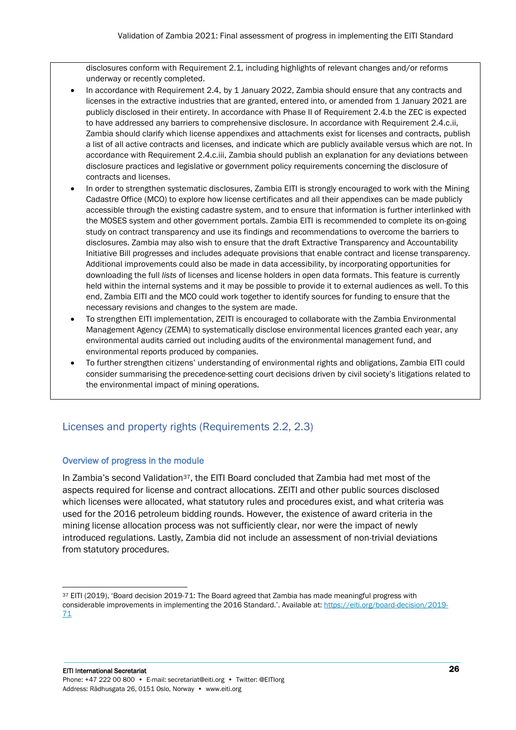disclosures conform with Requirement 2.1, including highlights of relevant changes and/or reforms underway or recently completed.

- In accordance with Requirement 2.4, by 1 January 2022, Zambia should ensure that any contracts and licenses in the extractive industries that are granted, entered into, or amended from 1 January 2021 are publicly disclosed in their entirety. In accordance with Phase II of Requirement 2.4.b the ZEC is expected to have addressed any barriers to comprehensive disclosure. In accordance with Requirement 2.4.c.ii, Zambia should clarify which license appendixes and attachments exist for licenses and contracts, publish a list of all active contracts and licenses, and indicate which are publicly available versus which are not. In accordance with Requirement 2.4.c.iii, Zambia should publish an explanation for any deviations between disclosure practices and legislative or government policy requirements concerning the disclosure of contracts and licenses.
- In order to strengthen systematic disclosures, Zambia EITI is strongly encouraged to work with the Mining Cadastre Office (MCO) to explore how license certificates and all their appendixes can be made publicly accessible through the existing cadastre system, and to ensure that information is further interlinked with the MOSES system and other government portals. Zambia EITI is recommended to complete its on-going study on contract transparency and use its findings and recommendations to overcome the barriers to disclosures. Zambia may also wish to ensure that the draft Extractive Transparency and Accountability Initiative Bill progresses and includes adequate provisions that enable contract and license transparency. Additional improvements could also be made in data accessibility, by incorporating opportunities for downloading the full *lists* of licenses and license holders in open data formats. This feature is currently held within the internal systems and it may be possible to provide it to external audiences as well. To this end, Zambia EITI and the MCO could work together to identify sources for funding to ensure that the necessary revisions and changes to the system are made.
- To strengthen EITI implementation, ZEITI is encouraged to collaborate with the Zambia Environmental Management Agency (ZEMA) to systematically disclose environmental licences granted each year, any environmental audits carried out including audits of the environmental management fund, and environmental reports produced by companies.
- To further strengthen citizens' understanding of environmental rights and obligations, Zambia EITI could consider summarising the precedence-setting court decisions driven by civil society's litigations related to the environmental impact of mining operations.

# <span id="page-25-0"></span>Licenses and property rights (Requirements 2.2, 2.3)

# Overview of progress in the module

In Zambia's second Validation<sup>37</sup>, the EITI Board concluded that Zambia had met most of the aspects required for license and contract allocations. ZEITI and other public sources disclosed which licenses were allocated, what statutory rules and procedures exist, and what criteria was used for the 2016 petroleum bidding rounds. However, the existence of award criteria in the mining license allocation process was not sufficiently clear, nor were the impact of newly introduced regulations. Lastly, Zambia did not include an assessment of non-trivial deviations from statutory procedures.

<sup>37</sup> EITI (2019), 'Board decision 2019-71: The Board agreed that Zambia has made meaningful progress with considerable improvements in implementing the 2016 Standard.'. Available at[: https://eiti.org/board-decision/2019-](https://eiti.org/board-decision/2019-71) [71](https://eiti.org/board-decision/2019-71)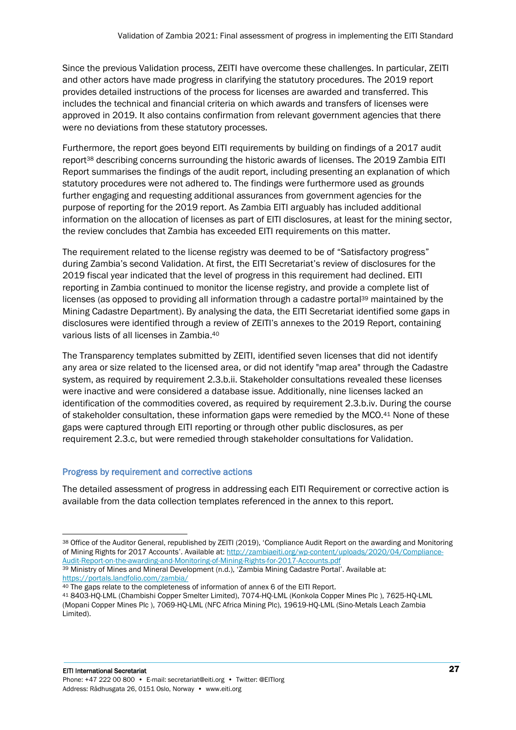Since the previous Validation process, ZEITI have overcome these challenges. In particular, ZEITI and other actors have made progress in clarifying the statutory procedures. The 2019 report provides detailed instructions of the process for licenses are awarded and transferred. This includes the technical and financial criteria on which awards and transfers of licenses were approved in 2019. It also contains confirmation from relevant government agencies that there were no deviations from these statutory processes.

Furthermore, the report goes beyond EITI requirements by building on findings of a 2017 audit report<sup>38</sup> describing concerns surrounding the historic awards of licenses. The 2019 Zambia EITI Report summarises the findings of the audit report, including presenting an explanation of which statutory procedures were not adhered to. The findings were furthermore used as grounds further engaging and requesting additional assurances from government agencies for the purpose of reporting for the 2019 report. As Zambia EITI arguably has included additional information on the allocation of licenses as part of EITI disclosures, at least for the mining sector, the review concludes that Zambia has exceeded EITI requirements on this matter.

The requirement related to the license registry was deemed to be of "Satisfactory progress" during Zambia's second Validation. At first, the EITI Secretariat's review of disclosures for the 2019 fiscal year indicated that the level of progress in this requirement had declined. EITI reporting in Zambia continued to monitor the license registry, and provide a complete list of licenses (as opposed to providing all information through a cadastre portal<sup>39</sup> maintained by the Mining Cadastre Department). By analysing the data, the EITI Secretariat identified some gaps in disclosures were identified through a review of ZEITI's annexes to the 2019 Report, containing various lists of all licenses in Zambia. 40

The Transparency templates submitted by ZEITI, identified seven licenses that did not identify any area or size related to the licensed area, or did not identify "map area" through the Cadastre system, as required by requirement 2.3.b.ii. Stakeholder consultations revealed these licenses were inactive and were considered a database issue. Additionally, nine licenses lacked an identification of the commodities covered, as required by requirement 2.3.b.iv. During the course of stakeholder consultation, these information gaps were remedied by the MCO.<sup>41</sup> None of these gaps were captured through EITI reporting or through other public disclosures, as per requirement 2.3.c, but were remedied through stakeholder consultations for Validation.

#### Progress by requirement and corrective actions

<sup>38</sup> Office of the Auditor General, republished by ZEITI (2019), 'Compliance Audit Report on the awarding and Monitoring of Mining Rights for 2017 Accounts'. Available at[: http://zambiaeiti.org/wp-content/uploads/2020/04/Compliance-](http://zambiaeiti.org/wp-content/uploads/2020/04/Compliance-Audit-Report-on-the-awarding-and-Monitoring-of-Mining-Rights-for-2017-Accounts.pdf)[Audit-Report-on-the-awarding-and-Monitoring-of-Mining-Rights-for-2017-Accounts.pdf](http://zambiaeiti.org/wp-content/uploads/2020/04/Compliance-Audit-Report-on-the-awarding-and-Monitoring-of-Mining-Rights-for-2017-Accounts.pdf)

<sup>39</sup> Ministry of Mines and Mineral Development (n.d.), 'Zambia Mining Cadastre Portal'. Available at: <https://portals.landfolio.com/zambia/>

<sup>40</sup> The gaps relate to the completeness of information of annex 6 of the EITI Report.

<sup>41</sup> 8403-HQ-LML (Chambishi Copper Smelter Limited), 7074-HQ-LML (Konkola Copper Mines Plc ), 7625-HQ-LML (Mopani Copper Mines Plc ), 7069-HQ-LML (NFC Africa Mining Plc), 19619-HQ-LML (Sino-Metals Leach Zambia Limited).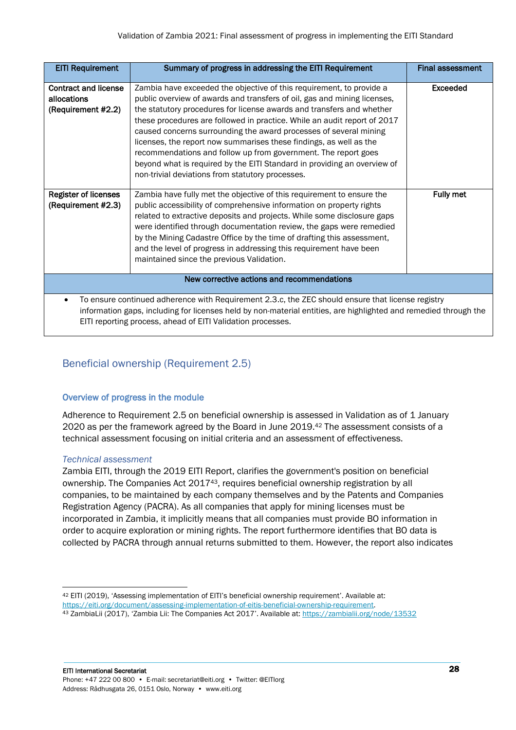| <b>EITI Requirement</b>                                                                                                                                                                                                                                                                           | Summary of progress in addressing the EITI Requirement                                                                                                                                                                                                                                                                                                                                                                                                                                                                                                                                                                                             | <b>Final assessment</b> |
|---------------------------------------------------------------------------------------------------------------------------------------------------------------------------------------------------------------------------------------------------------------------------------------------------|----------------------------------------------------------------------------------------------------------------------------------------------------------------------------------------------------------------------------------------------------------------------------------------------------------------------------------------------------------------------------------------------------------------------------------------------------------------------------------------------------------------------------------------------------------------------------------------------------------------------------------------------------|-------------------------|
| <b>Contract and license</b><br>allocations<br>(Requirement #2.2)                                                                                                                                                                                                                                  | Zambia have exceeded the objective of this requirement, to provide a<br>public overview of awards and transfers of oil, gas and mining licenses,<br>the statutory procedures for license awards and transfers and whether<br>these procedures are followed in practice. While an audit report of 2017<br>caused concerns surrounding the award processes of several mining<br>licenses, the report now summarises these findings, as well as the<br>recommendations and follow up from government. The report goes<br>beyond what is required by the EITI Standard in providing an overview of<br>non-trivial deviations from statutory processes. | <b>Exceeded</b>         |
| <b>Register of licenses</b><br>(Requirement #2.3)                                                                                                                                                                                                                                                 | Zambia have fully met the objective of this requirement to ensure the<br>public accessibility of comprehensive information on property rights<br>related to extractive deposits and projects. While some disclosure gaps<br>were identified through documentation review, the gaps were remedied<br>by the Mining Cadastre Office by the time of drafting this assessment,<br>and the level of progress in addressing this requirement have been<br>maintained since the previous Validation.                                                                                                                                                      | Fully met               |
| New corrective actions and recommendations                                                                                                                                                                                                                                                        |                                                                                                                                                                                                                                                                                                                                                                                                                                                                                                                                                                                                                                                    |                         |
| To ensure continued adherence with Requirement 2.3.c, the ZEC should ensure that license registry<br>$\bullet$<br>information gaps, including for licenses held by non-material entities, are highlighted and remedied through the<br>EITI reporting process, ahead of EITI Validation processes. |                                                                                                                                                                                                                                                                                                                                                                                                                                                                                                                                                                                                                                                    |                         |

# <span id="page-27-0"></span>Beneficial ownership (Requirement 2.5)

# Overview of progress in the module

Adherence to Requirement 2.5 on beneficial ownership is assessed in Validation as of 1 January 2020 as per the framework agreed by the Board in June 2019.<sup>42</sup> The assessment consists of a technical assessment focusing on initial criteria and an assessment of effectiveness.

# *Technical assessment*

Zambia EITI, through the 2019 EITI Report, clarifies the government's position on beneficial ownership. The Companies Act 201743, requires beneficial ownership registration by all companies, to be maintained by each company themselves and by the Patents and Companies Registration Agency (PACRA). As all companies that apply for mining licenses must be incorporated in Zambia, it implicitly means that all companies must provide BO information in order to acquire exploration or mining rights. The report furthermore identifies that BO data is collected by PACRA through annual returns submitted to them. However, the report also indicates

<sup>42</sup> EITI (2019), 'Assessing implementation of EITI's beneficial ownership requirement'. Available at:

[https://eiti.org/document/assessing-implementation-of-eitis-beneficial-ownership-requirement.](https://eiti.org/document/assessing-implementation-of-eitis-beneficial-ownership-requirement)

<sup>43</sup> ZambiaLii (2017), 'Zambia Lii: The Companies Act 2017'. Available at[: https://zambialii.org/node/13532](https://zambialii.org/node/13532)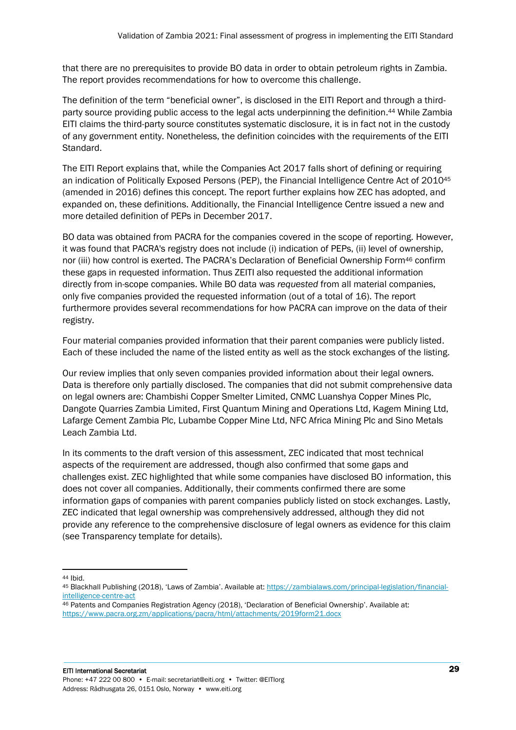that there are no prerequisites to provide BO data in order to obtain petroleum rights in Zambia. The report provides recommendations for how to overcome this challenge.

The definition of the term "beneficial owner", is disclosed in the EITI Report and through a thirdparty source providing public access to the legal acts underpinning the definition. <sup>44</sup> While Zambia EITI claims the third-party source constitutes systematic disclosure, it is in fact not in the custody of any government entity. Nonetheless, the definition coincides with the requirements of the EITI Standard.

The EITI Report explains that, while the Companies Act 2017 falls short of defining or requiring an indication of Politically Exposed Persons (PEP), the Financial Intelligence Centre Act of 2010<sup>45</sup> (amended in 2016) defines this concept. The report further explains how ZEC has adopted, and expanded on, these definitions. Additionally, the Financial Intelligence Centre issued a new and more detailed definition of PEPs in December 2017.

BO data was obtained from PACRA for the companies covered in the scope of reporting. However, it was found that PACRA's registry does not include (i) indication of PEPs, (ii) level of ownership, nor (iii) how control is exerted. The PACRA's Declaration of Beneficial Ownership Form<sup>46</sup> confirm these gaps in requested information. Thus ZEITI also requested the additional information directly from in-scope companies. While BO data was *requested* from all material companies, only five companies provided the requested information (out of a total of 16). The report furthermore provides several recommendations for how PACRA can improve on the data of their registry.

Four material companies provided information that their parent companies were publicly listed. Each of these included the name of the listed entity as well as the stock exchanges of the listing.

Our review implies that only seven companies provided information about their legal owners. Data is therefore only partially disclosed. The companies that did not submit comprehensive data on legal owners are: Chambishi Copper Smelter Limited, CNMC Luanshya Copper Mines Plc, Dangote Quarries Zambia Limited, First Quantum Mining and Operations Ltd, Kagem Mining Ltd, Lafarge Cement Zambia Plc, Lubambe Copper Mine Ltd, NFC Africa Mining Plc and Sino Metals Leach Zambia Ltd.

In its comments to the draft version of this assessment, ZEC indicated that most technical aspects of the requirement are addressed, though also confirmed that some gaps and challenges exist. ZEC highlighted that while some companies have disclosed BO information, this does not cover all companies. Additionally, their comments confirmed there are some information gaps of companies with parent companies publicly listed on stock exchanges. Lastly, ZEC indicated that legal ownership was comprehensively addressed, although they did not provide any reference to the comprehensive disclosure of legal owners as evidence for this claim (see Transparency template for details).

<sup>44</sup> Ibid.

<sup>45</sup> Blackhall Publishing (2018), 'Laws of Zambia'. Available at: [https://zambialaws.com/principal-legislation/financial](https://zambialaws.com/principal-legislation/financial-intelligence-centre-act)[intelligence-centre-act](https://zambialaws.com/principal-legislation/financial-intelligence-centre-act)

<sup>46</sup> Patents and Companies Registration Agency (2018), 'Declaration of Beneficial Ownership'. Available at: <https://www.pacra.org.zm/applications/pacra/html/attachments/2019form21.docx>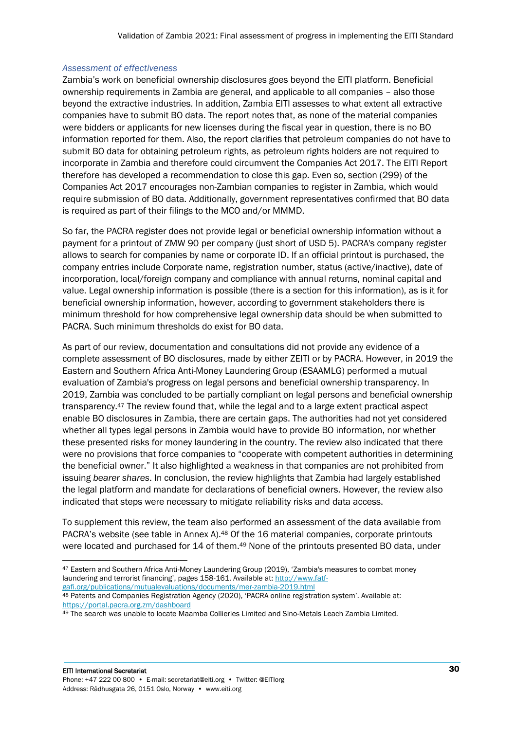#### *Assessment of effectiveness*

Zambia's work on beneficial ownership disclosures goes beyond the EITI platform. Beneficial ownership requirements in Zambia are general, and applicable to all companies – also those beyond the extractive industries. In addition, Zambia EITI assesses to what extent all extractive companies have to submit BO data. The report notes that, as none of the material companies were bidders or applicants for new licenses during the fiscal year in question, there is no BO information reported for them. Also, the report clarifies that petroleum companies do not have to submit BO data for obtaining petroleum rights, as petroleum rights holders are not required to incorporate in Zambia and therefore could circumvent the Companies Act 2017. The EITI Report therefore has developed a recommendation to close this gap. Even so, section (299) of the Companies Act 2017 encourages non-Zambian companies to register in Zambia, which would require submission of BO data. Additionally, government representatives confirmed that BO data is required as part of their filings to the MCO and/or MMMD.

So far, the PACRA register does not provide legal or beneficial ownership information without a payment for a printout of ZMW 90 per company (just short of USD 5). PACRA's company register allows to search for companies by name or corporate ID. If an official printout is purchased, the company entries include Corporate name, registration number, status (active/inactive), date of incorporation, local/foreign company and compliance with annual returns, nominal capital and value. Legal ownership information is possible (there is a section for this information), as is it for beneficial ownership information, however, according to government stakeholders there is minimum threshold for how comprehensive legal ownership data should be when submitted to PACRA. Such minimum thresholds do exist for BO data.

As part of our review, documentation and consultations did not provide any evidence of a complete assessment of BO disclosures, made by either ZEITI or by PACRA. However, in 2019 the Eastern and Southern Africa Anti-Money Laundering Group (ESAAMLG) performed a mutual evaluation of Zambia's progress on legal persons and beneficial ownership transparency. In 2019, Zambia was concluded to be partially compliant on legal persons and beneficial ownership transparency.<sup>47</sup> The review found that, while the legal and to a large extent practical aspect enable BO disclosures in Zambia, there are certain gaps. The authorities had not yet considered whether all types legal persons in Zambia would have to provide BO information, nor whether these presented risks for money laundering in the country. The review also indicated that there were no provisions that force companies to "cooperate with competent authorities in determining the beneficial owner." It also highlighted a weakness in that companies are not prohibited from issuing *bearer shares*. In conclusion, the review highlights that Zambia had largely established the legal platform and mandate for declarations of beneficial owners. However, the review also indicated that steps were necessary to mitigate reliability risks and data access.

To supplement this review, the team also performed an assessment of the data available from PACRA's website (see table in Annex A).<sup>48</sup> Of the 16 material companies, corporate printouts were located and purchased for 14 of them.<sup>49</sup> None of the printouts presented BO data, under

<sup>47</sup> Eastern and Southern Africa Anti-Money Laundering Group (2019), 'Zambia's measures to combat money laundering and terrorist financing', pages 158-161. Available at[: http://www.fatf](http://www.fatf-gafi.org/publications/mutualevaluations/documents/mer-zambia-2019.html)[gafi.org/publications/mutualevaluations/documents/mer-zambia-2019.html](http://www.fatf-gafi.org/publications/mutualevaluations/documents/mer-zambia-2019.html)

<sup>48</sup> Patents and Companies Registration Agency (2020), 'PACRA online registration system'. Available at: <https://portal.pacra.org.zm/dashboard>

<sup>49</sup> The search was unable to locate Maamba Collieries Limited and Sino-Metals Leach Zambia Limited.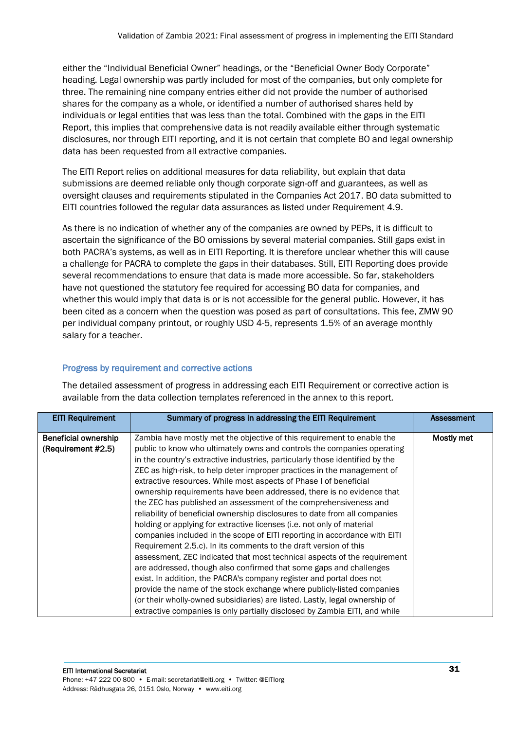either the "Individual Beneficial Owner" headings, or the "Beneficial Owner Body Corporate" heading. Legal ownership was partly included for most of the companies, but only complete for three. The remaining nine company entries either did not provide the number of authorised shares for the company as a whole, or identified a number of authorised shares held by individuals or legal entities that was less than the total. Combined with the gaps in the EITI Report, this implies that comprehensive data is not readily available either through systematic disclosures, nor through EITI reporting, and it is not certain that complete BO and legal ownership data has been requested from all extractive companies.

The EITI Report relies on additional measures for data reliability, but explain that data submissions are deemed reliable only though corporate sign-off and guarantees, as well as oversight clauses and requirements stipulated in the Companies Act 2017. BO data submitted to EITI countries followed the regular data assurances as listed under Requirement 4.9.

As there is no indication of whether any of the companies are owned by PEPs, it is difficult to ascertain the significance of the BO omissions by several material companies. Still gaps exist in both PACRA's systems, as well as in EITI Reporting. It is therefore unclear whether this will cause a challenge for PACRA to complete the gaps in their databases. Still, EITI Reporting does provide several recommendations to ensure that data is made more accessible. So far, stakeholders have not questioned the statutory fee required for accessing BO data for companies, and whether this would imply that data is or is not accessible for the general public. However, it has been cited as a concern when the question was posed as part of consultations. This fee, ZMW 90 per individual company printout, or roughly USD 4-5, represents 1.5% of an average monthly salary for a teacher.

# Progress by requirement and corrective actions

| <b>EITI Requirement</b>     | Summary of progress in addressing the EITI Requirement                       | <b>Assessment</b> |
|-----------------------------|------------------------------------------------------------------------------|-------------------|
| <b>Beneficial ownership</b> | Zambia have mostly met the objective of this requirement to enable the       | Mostly met        |
| (Requirement #2.5)          | public to know who ultimately owns and controls the companies operating      |                   |
|                             | in the country's extractive industries, particularly those identified by the |                   |
|                             | ZEC as high-risk, to help deter improper practices in the management of      |                   |
|                             | extractive resources. While most aspects of Phase I of beneficial            |                   |
|                             | ownership requirements have been addressed, there is no evidence that        |                   |
|                             | the ZEC has published an assessment of the comprehensiveness and             |                   |
|                             | reliability of beneficial ownership disclosures to date from all companies   |                   |
|                             | holding or applying for extractive licenses (i.e. not only of material       |                   |
|                             | companies included in the scope of EITI reporting in accordance with EITI    |                   |
|                             | Requirement 2.5.c). In its comments to the draft version of this             |                   |
|                             | assessment, ZEC indicated that most technical aspects of the requirement     |                   |
|                             | are addressed, though also confirmed that some gaps and challenges           |                   |
|                             | exist. In addition, the PACRA's company register and portal does not         |                   |
|                             | provide the name of the stock exchange where publicly-listed companies       |                   |
|                             | (or their wholly-owned subsidiaries) are listed. Lastly, legal ownership of  |                   |
|                             | extractive companies is only partially disclosed by Zambia EITI, and while   |                   |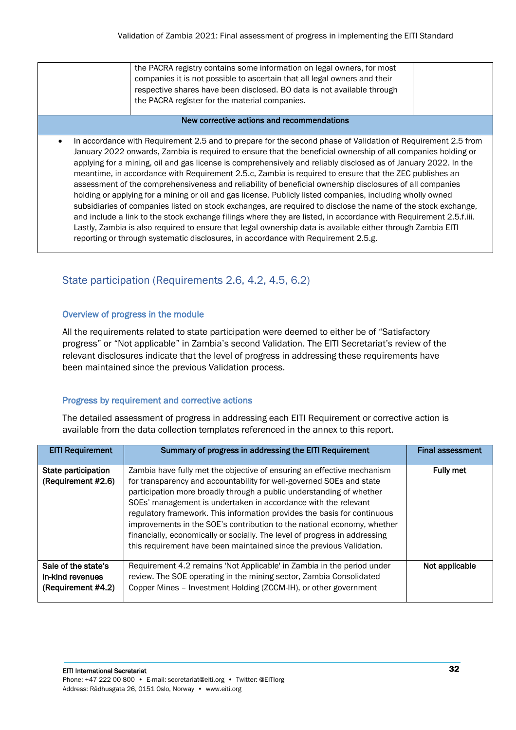| the PACRA registry contains some information on legal owners, for most    |  |
|---------------------------------------------------------------------------|--|
| companies it is not possible to ascertain that all legal owners and their |  |
| respective shares have been disclosed. BO data is not available through   |  |
| the PACRA register for the material companies.                            |  |
|                                                                           |  |

#### New corrective actions and recommendations

• In accordance with Requirement 2.5 and to prepare for the second phase of Validation of Requirement 2.5 from January 2022 onwards, Zambia is required to ensure that the beneficial ownership of all companies holding or applying for a mining, oil and gas license is comprehensively and reliably disclosed as of January 2022. In the meantime, in accordance with Requirement 2.5.c, Zambia is required to ensure that the ZEC publishes an assessment of the comprehensiveness and reliability of beneficial ownership disclosures of all companies holding or applying for a mining or oil and gas license. Publicly listed companies, including wholly owned subsidiaries of companies listed on stock exchanges, are required to disclose the name of the stock exchange, and include a link to the stock exchange filings where they are listed, in accordance with Requirement 2.5.f.iii. Lastly, Zambia is also required to ensure that legal ownership data is available either through Zambia EITI reporting or through systematic disclosures, in accordance with Requirement 2.5.g.

# <span id="page-31-0"></span>State participation (Requirements 2.6, 4.2, 4.5, 6.2)

## Overview of progress in the module

All the requirements related to state participation were deemed to either be of "Satisfactory progress" or "Not applicable" in Zambia's second Validation. The EITI Secretariat's review of the relevant disclosures indicate that the level of progress in addressing these requirements have been maintained since the previous Validation process.

# Progress by requirement and corrective actions

| <b>EITI Requirement</b>                                       | Summary of progress in addressing the EITI Requirement                                                                                                                                                                                                                                                                                                                                                                                                                                                                                                                                                | <b>Final assessment</b> |
|---------------------------------------------------------------|-------------------------------------------------------------------------------------------------------------------------------------------------------------------------------------------------------------------------------------------------------------------------------------------------------------------------------------------------------------------------------------------------------------------------------------------------------------------------------------------------------------------------------------------------------------------------------------------------------|-------------------------|
| State participation<br>(Requirement #2.6)                     | Zambia have fully met the objective of ensuring an effective mechanism<br>for transparency and accountability for well-governed SOEs and state<br>participation more broadly through a public understanding of whether<br>SOEs' management is undertaken in accordance with the relevant<br>regulatory framework. This information provides the basis for continuous<br>improvements in the SOE's contribution to the national economy, whether<br>financially, economically or socially. The level of progress in addressing<br>this requirement have been maintained since the previous Validation. | <b>Fully met</b>        |
| Sale of the state's<br>in-kind revenues<br>(Requirement #4.2) | Requirement 4.2 remains 'Not Applicable' in Zambia in the period under<br>review. The SOE operating in the mining sector, Zambia Consolidated<br>Copper Mines - Investment Holding (ZCCM-IH), or other government                                                                                                                                                                                                                                                                                                                                                                                     | Not applicable          |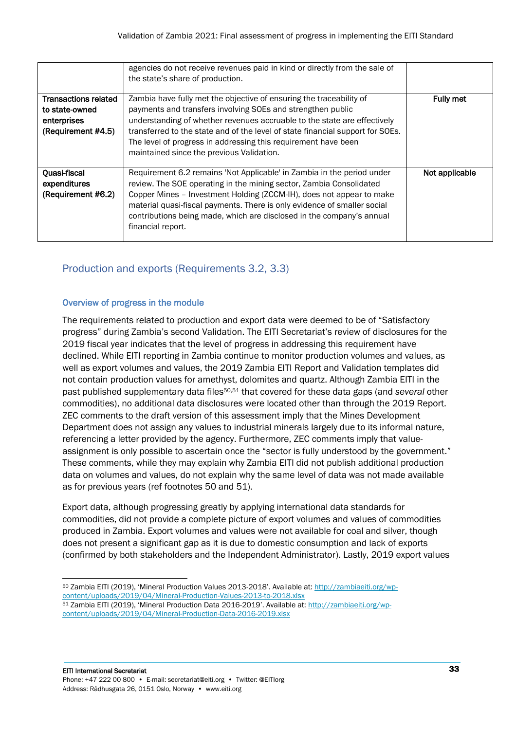|                                                                                    | agencies do not receive revenues paid in kind or directly from the sale of<br>the state's share of production.                                                                                                                                                                                                                                                                                                  |                  |
|------------------------------------------------------------------------------------|-----------------------------------------------------------------------------------------------------------------------------------------------------------------------------------------------------------------------------------------------------------------------------------------------------------------------------------------------------------------------------------------------------------------|------------------|
| <b>Transactions related</b><br>to state-owned<br>enterprises<br>(Requirement #4.5) | Zambia have fully met the objective of ensuring the traceability of<br>payments and transfers involving SOEs and strengthen public<br>understanding of whether revenues accruable to the state are effectively<br>transferred to the state and of the level of state financial support for SOEs.<br>The level of progress in addressing this requirement have been<br>maintained since the previous Validation. | <b>Fully met</b> |
| Quasi-fiscal<br>expenditures<br>(Requirement #6.2)                                 | Requirement 6.2 remains 'Not Applicable' in Zambia in the period under<br>review. The SOE operating in the mining sector, Zambia Consolidated<br>Copper Mines - Investment Holding (ZCCM-IH), does not appear to make<br>material quasi-fiscal payments. There is only evidence of smaller social<br>contributions being made, which are disclosed in the company's annual<br>financial report.                 | Not applicable   |

# <span id="page-32-0"></span>Production and exports (Requirements 3.2, 3.3)

# Overview of progress in the module

<span id="page-32-2"></span><span id="page-32-1"></span>The requirements related to production and export data were deemed to be of "Satisfactory progress" during Zambia's second Validation. The EITI Secretariat's review of disclosures for the 2019 fiscal year indicates that the level of progress in addressing this requirement have declined. While EITI reporting in Zambia continue to monitor production volumes and values, as well as export volumes and values, the 2019 Zambia EITI Report and Validation templates did not contain production values for amethyst, dolomites and quartz. Although Zambia EITI in the past published supplementary data files50,51 that covered for these data gaps (and *several* other commodities), no additional data disclosures were located other than through the 2019 Report. ZEC comments to the draft version of this assessment imply that the Mines Development Department does not assign any values to industrial minerals largely due to its informal nature, referencing a letter provided by the agency. Furthermore, ZEC comments imply that valueassignment is only possible to ascertain once the "sector is fully understood by the government." These comments, while they may explain why Zambia EITI did not publish additional production data on volumes and values, do not explain why the same level of data was not made available as for previous years (ref footnotes [50](#page-32-1) and [51\)](#page-32-2).

Export data, although progressing greatly by applying international data standards for commodities, did not provide a complete picture of export volumes and values of commodities produced in Zambia. Export volumes and values were not available for coal and silver, though does not present a significant gap as it is due to domestic consumption and lack of exports (confirmed by both stakeholders and the Independent Administrator). Lastly, 2019 export values

<sup>50</sup> Zambia EITI (2019), 'Mineral Production Values 2013-2018'. Available at: [http://zambiaeiti.org/wp](http://zambiaeiti.org/wp-content/uploads/2019/04/Mineral-Production-Values-2013-to-2018.xlsx)[content/uploads/2019/04/Mineral-Production-Values-2013-to-2018.xlsx](http://zambiaeiti.org/wp-content/uploads/2019/04/Mineral-Production-Values-2013-to-2018.xlsx) 51 Zambia EITI (2019), 'Mineral Production Data 2016-2019'. Available at[: http://zambiaeiti.org/wp-](http://zambiaeiti.org/wp-content/uploads/2019/04/Mineral-Production-Data-2016-2019.xlsx)

[content/uploads/2019/04/Mineral-Production-Data-2016-2019.xlsx](http://zambiaeiti.org/wp-content/uploads/2019/04/Mineral-Production-Data-2016-2019.xlsx)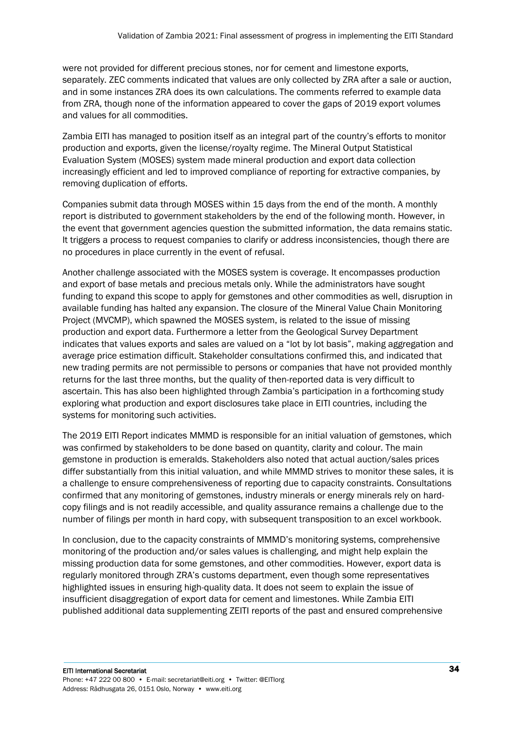were not provided for different precious stones, nor for cement and limestone exports, separately. ZEC comments indicated that values are only collected by ZRA after a sale or auction, and in some instances ZRA does its own calculations. The comments referred to example data from ZRA, though none of the information appeared to cover the gaps of 2019 export volumes and values for all commodities.

Zambia EITI has managed to position itself as an integral part of the country's efforts to monitor production and exports, given the license/royalty regime. The Mineral Output Statistical Evaluation System (MOSES) system made mineral production and export data collection increasingly efficient and led to improved compliance of reporting for extractive companies, by removing duplication of efforts.

Companies submit data through MOSES within 15 days from the end of the month. A monthly report is distributed to government stakeholders by the end of the following month. However, in the event that government agencies question the submitted information, the data remains static. It triggers a process to request companies to clarify or address inconsistencies, though there are no procedures in place currently in the event of refusal.

Another challenge associated with the MOSES system is coverage. It encompasses production and export of base metals and precious metals only. While the administrators have sought funding to expand this scope to apply for gemstones and other commodities as well, disruption in available funding has halted any expansion. The closure of the Mineral Value Chain Monitoring Project (MVCMP), which spawned the MOSES system, is related to the issue of missing production and export data. Furthermore a letter from the Geological Survey Department indicates that values exports and sales are valued on a "lot by lot basis", making aggregation and average price estimation difficult. Stakeholder consultations confirmed this, and indicated that new trading permits are not permissible to persons or companies that have not provided monthly returns for the last three months, but the quality of then-reported data is very difficult to ascertain. This has also been highlighted through Zambia's participation in a forthcoming study exploring what production and export disclosures take place in EITI countries, including the systems for monitoring such activities.

The 2019 EITI Report indicates MMMD is responsible for an initial valuation of gemstones, which was confirmed by stakeholders to be done based on quantity, clarity and colour. The main gemstone in production is emeralds. Stakeholders also noted that actual auction/sales prices differ substantially from this initial valuation, and while MMMD strives to monitor these sales, it is a challenge to ensure comprehensiveness of reporting due to capacity constraints. Consultations confirmed that any monitoring of gemstones, industry minerals or energy minerals rely on hardcopy filings and is not readily accessible, and quality assurance remains a challenge due to the number of filings per month in hard copy, with subsequent transposition to an excel workbook.

In conclusion, due to the capacity constraints of MMMD's monitoring systems, comprehensive monitoring of the production and/or sales values is challenging, and might help explain the missing production data for some gemstones, and other commodities. However, export data is regularly monitored through ZRA's customs department, even though some representatives highlighted issues in ensuring high-quality data. It does not seem to explain the issue of insufficient disaggregation of export data for cement and limestones. While Zambia EITI published additional data supplementing ZEITI reports of the past and ensured comprehensive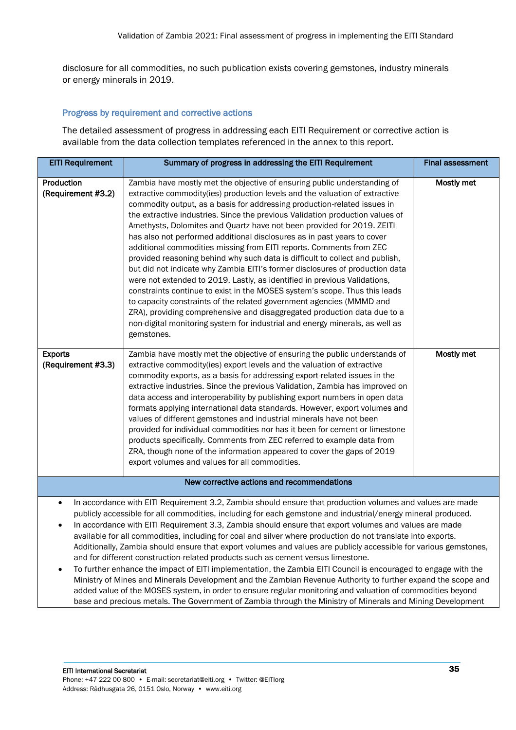disclosure for all commodities, no such publication exists covering gemstones, industry minerals or energy minerals in 2019.

#### Progress by requirement and corrective actions

| <b>EITI Requirement</b>                                                                                                                                                                                                                                                                                                                                                                                                                                                                                                                                                                                                                                                                                                                                                                                                                                                                                                                                                                                                                                                                                                                            | Summary of progress in addressing the EITI Requirement                                                                                                                                                                                                                                                                                                                                                                                                                                                                                                                                                                                                                                                                                                                                                                                                                                                                                                                                                                                                                                                                        | <b>Final assessment</b> |
|----------------------------------------------------------------------------------------------------------------------------------------------------------------------------------------------------------------------------------------------------------------------------------------------------------------------------------------------------------------------------------------------------------------------------------------------------------------------------------------------------------------------------------------------------------------------------------------------------------------------------------------------------------------------------------------------------------------------------------------------------------------------------------------------------------------------------------------------------------------------------------------------------------------------------------------------------------------------------------------------------------------------------------------------------------------------------------------------------------------------------------------------------|-------------------------------------------------------------------------------------------------------------------------------------------------------------------------------------------------------------------------------------------------------------------------------------------------------------------------------------------------------------------------------------------------------------------------------------------------------------------------------------------------------------------------------------------------------------------------------------------------------------------------------------------------------------------------------------------------------------------------------------------------------------------------------------------------------------------------------------------------------------------------------------------------------------------------------------------------------------------------------------------------------------------------------------------------------------------------------------------------------------------------------|-------------------------|
| Production<br>(Requirement #3.2)                                                                                                                                                                                                                                                                                                                                                                                                                                                                                                                                                                                                                                                                                                                                                                                                                                                                                                                                                                                                                                                                                                                   | Zambia have mostly met the objective of ensuring public understanding of<br>extractive commodity(ies) production levels and the valuation of extractive<br>commodity output, as a basis for addressing production-related issues in<br>the extractive industries. Since the previous Validation production values of<br>Amethysts, Dolomites and Quartz have not been provided for 2019. ZEITI<br>has also not performed additional disclosures as in past years to cover<br>additional commodities missing from EITI reports. Comments from ZEC<br>provided reasoning behind why such data is difficult to collect and publish,<br>but did not indicate why Zambia EITI's former disclosures of production data<br>were not extended to 2019. Lastly, as identified in previous Validations,<br>constraints continue to exist in the MOSES system's scope. Thus this leads<br>to capacity constraints of the related government agencies (MMMD and<br>ZRA), providing comprehensive and disaggregated production data due to a<br>non-digital monitoring system for industrial and energy minerals, as well as<br>gemstones. | Mostly met              |
| <b>Exports</b><br>(Requirement #3.3)                                                                                                                                                                                                                                                                                                                                                                                                                                                                                                                                                                                                                                                                                                                                                                                                                                                                                                                                                                                                                                                                                                               | Zambia have mostly met the objective of ensuring the public understands of<br>extractive commodity(ies) export levels and the valuation of extractive<br>commodity exports, as a basis for addressing export-related issues in the<br>extractive industries. Since the previous Validation, Zambia has improved on<br>data access and interoperability by publishing export numbers in open data<br>formats applying international data standards. However, export volumes and<br>values of different gemstones and industrial minerals have not been<br>provided for individual commodities nor has it been for cement or limestone<br>products specifically. Comments from ZEC referred to example data from<br>ZRA, though none of the information appeared to cover the gaps of 2019<br>export volumes and values for all commodities.                                                                                                                                                                                                                                                                                    | Mostly met              |
|                                                                                                                                                                                                                                                                                                                                                                                                                                                                                                                                                                                                                                                                                                                                                                                                                                                                                                                                                                                                                                                                                                                                                    | New corrective actions and recommendations                                                                                                                                                                                                                                                                                                                                                                                                                                                                                                                                                                                                                                                                                                                                                                                                                                                                                                                                                                                                                                                                                    |                         |
| In accordance with EITI Requirement 3.2, Zambia should ensure that production volumes and values are made<br>$\bullet$<br>publicly accessible for all commodities, including for each gemstone and industrial/energy mineral produced.<br>In accordance with EITI Requirement 3.3, Zambia should ensure that export volumes and values are made<br>$\bullet$<br>available for all commodities, including for coal and silver where production do not translate into exports.<br>Additionally, Zambia should ensure that export volumes and values are publicly accessible for various gemstones,<br>and for different construction-related products such as cement versus limestone.<br>To further enhance the impact of EITI implementation, the Zambia EITI Council is encouraged to engage with the<br>Ministry of Mines and Minerals Development and the Zambian Revenue Authority to further expand the scope and<br>added value of the MOSES system, in order to ensure regular monitoring and valuation of commodities beyond<br>base and precious metals. The Government of Zambia through the Ministry of Minerals and Mining Development |                                                                                                                                                                                                                                                                                                                                                                                                                                                                                                                                                                                                                                                                                                                                                                                                                                                                                                                                                                                                                                                                                                                               |                         |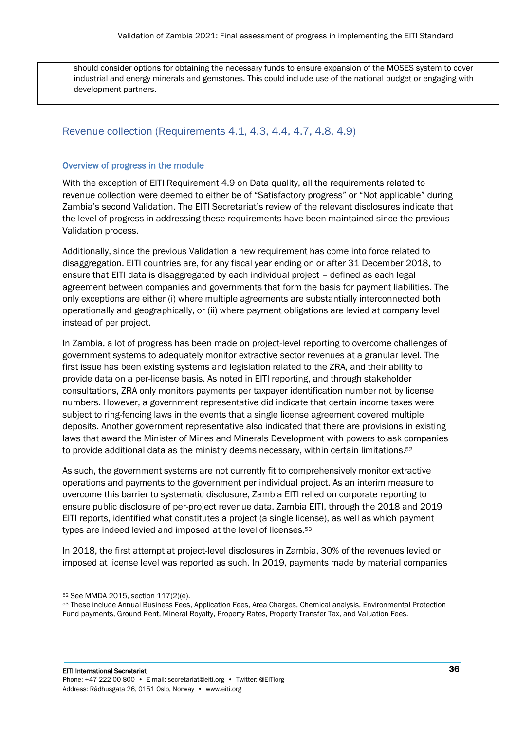should consider options for obtaining the necessary funds to ensure expansion of the MOSES system to cover industrial and energy minerals and gemstones. This could include use of the national budget or engaging with development partners.

# <span id="page-35-0"></span>Revenue collection (Requirements 4.1, 4.3, 4.4, 4.7, 4.8, 4.9)

## Overview of progress in the module

With the exception of EITI Requirement 4.9 on Data quality, all the requirements related to revenue collection were deemed to either be of "Satisfactory progress" or "Not applicable" during Zambia's second Validation. The EITI Secretariat's review of the relevant disclosures indicate that the level of progress in addressing these requirements have been maintained since the previous Validation process.

Additionally, since the previous Validation a new requirement has come into force related to disaggregation. EITI countries are, for any fiscal year ending on or after 31 December 2018, to ensure that EITI data is disaggregated by each individual project – defined as each legal agreement between companies and governments that form the basis for payment liabilities. The only exceptions are either (i) where multiple agreements are substantially interconnected both operationally and geographically, or (ii) where payment obligations are levied at company level instead of per project.

In Zambia, a lot of progress has been made on project-level reporting to overcome challenges of government systems to adequately monitor extractive sector revenues at a granular level. The first issue has been existing systems and legislation related to the ZRA, and their ability to provide data on a per-license basis. As noted in EITI reporting, and through stakeholder consultations, ZRA only monitors payments per taxpayer identification number not by license numbers. However, a government representative did indicate that certain income taxes were subject to ring-fencing laws in the events that a single license agreement covered multiple deposits. Another government representative also indicated that there are provisions in existing laws that award the Minister of Mines and Minerals Development with powers to ask companies to provide additional data as the ministry deems necessary, within certain limitations.<sup>52</sup>

As such, the government systems are not currently fit to comprehensively monitor extractive operations and payments to the government per individual project. As an interim measure to overcome this barrier to systematic disclosure, Zambia EITI relied on corporate reporting to ensure public disclosure of per-project revenue data. Zambia EITI, through the 2018 and 2019 EITI reports, identified what constitutes a project (a single license), as well as which payment types are indeed levied and imposed at the level of licenses.<sup>53</sup>

In 2018, the first attempt at project-level disclosures in Zambia, 30% of the revenues levied or imposed at license level was reported as such. In 2019, payments made by material companies

<sup>52</sup> See MMDA 2015, section 117(2)(e).

<sup>53</sup> These include Annual Business Fees, Application Fees, Area Charges, Chemical analysis, Environmental Protection Fund payments, Ground Rent, Mineral Royalty, Property Rates, Property Transfer Tax, and Valuation Fees.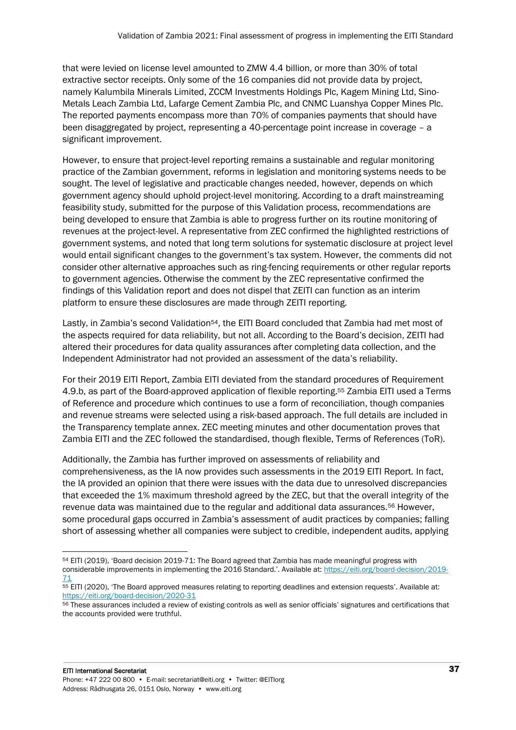that were levied on license level amounted to ZMW 4.4 billion, or more than 30% of total extractive sector receipts. Only some of the 16 companies did not provide data by project, namely Kalumbila Minerals Limited, ZCCM Investments Holdings Plc, Kagem Mining Ltd, Sino-Metals Leach Zambia Ltd, Lafarge Cement Zambia Plc, and CNMC Luanshya Copper Mines Plc. The reported payments encompass more than 70% of companies payments that should have been disaggregated by project, representing a 40-percentage point increase in coverage – a significant improvement.

However, to ensure that project-level reporting remains a sustainable and regular monitoring practice of the Zambian government, reforms in legislation and monitoring systems needs to be sought. The level of legislative and practicable changes needed, however, depends on which government agency should uphold project-level monitoring. According to a draft mainstreaming feasibility study, submitted for the purpose of this Validation process, recommendations are being developed to ensure that Zambia is able to progress further on its routine monitoring of revenues at the project-level. A representative from ZEC confirmed the highlighted restrictions of government systems, and noted that long term solutions for systematic disclosure at project level would entail significant changes to the government's tax system. However, the comments did not consider other alternative approaches such as ring-fencing requirements or other regular reports to government agencies. Otherwise the comment by the ZEC representative confirmed the findings of this Validation report and does not dispel that ZEITI can function as an interim platform to ensure these disclosures are made through ZEITI reporting.

Lastly, in Zambia's second Validation<sup>54</sup>, the EITI Board concluded that Zambia had met most of the aspects required for data reliability, but not all. According to the Board's decision, ZEITI had altered their procedures for data quality assurances after completing data collection, and the Independent Administrator had not provided an assessment of the data's reliability.

For their 2019 EITI Report, Zambia EITI deviated from the standard procedures of Requirement 4.9.b, as part of the Board-approved application of flexible reporting.<sup>55</sup> Zambia EITI used a Terms of Reference and procedure which continues to use a form of reconciliation, though companies and revenue streams were selected using a risk-based approach. The full details are included in the Transparency template annex. ZEC meeting minutes and other documentation proves that Zambia EITI and the ZEC followed the standardised, though flexible, Terms of References (ToR).

Additionally, the Zambia has further improved on assessments of reliability and comprehensiveness, as the IA now provides such assessments in the 2019 EITI Report. In fact, the IA provided an opinion that there were issues with the data due to unresolved discrepancies that exceeded the 1% maximum threshold agreed by the ZEC, but that the overall integrity of the revenue data was maintained due to the regular and additional data assurances.<sup>56</sup> However, some procedural gaps occurred in Zambia's assessment of audit practices by companies; falling short of assessing whether all companies were subject to credible, independent audits, applying

<sup>54</sup> EITI (2019), 'Board decision 2019-71: The Board agreed that Zambia has made meaningful progress with considerable improvements in implementing the 2016 Standard.'. Available at: [https://eiti.org/board-decision/2019-](https://eiti.org/board-decision/2019-71) [71](https://eiti.org/board-decision/2019-71)

<sup>55</sup> EITI (2020), 'The Board approved measures relating to reporting deadlines and extension requests'. Available at: <https://eiti.org/board-decision/2020-31>

<sup>56</sup> These assurances included a review of existing controls as well as senior officials' signatures and certifications that the accounts provided were truthful.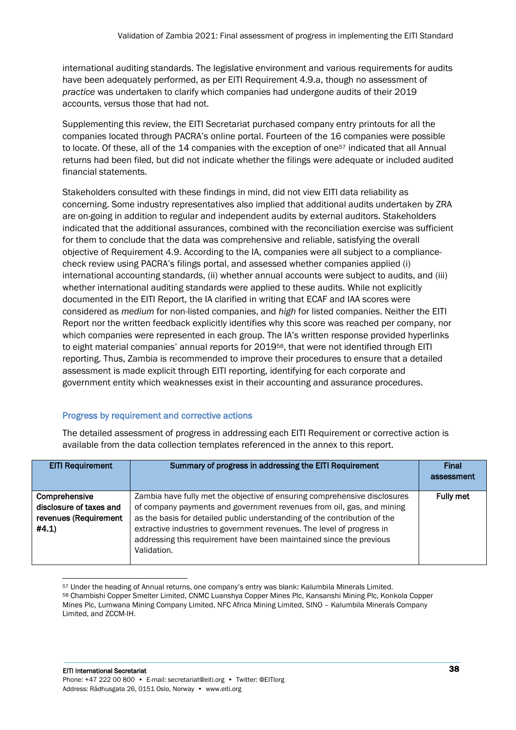international auditing standards. The legislative environment and various requirements for audits have been adequately performed, as per EITI Requirement 4.9.a, though no assessment of *practice* was undertaken to clarify which companies had undergone audits of their 2019 accounts, versus those that had not.

Supplementing this review, the EITI Secretariat purchased company entry printouts for all the companies located through PACRA's online portal. Fourteen of the 16 companies were possible to locate. Of these, all of the 14 companies with the exception of one<sup>57</sup> indicated that all Annual returns had been filed, but did not indicate whether the filings were adequate or included audited financial statements.

Stakeholders consulted with these findings in mind, did not view EITI data reliability as concerning. Some industry representatives also implied that additional audits undertaken by ZRA are on-going in addition to regular and independent audits by external auditors. Stakeholders indicated that the additional assurances, combined with the reconciliation exercise was sufficient for them to conclude that the data was comprehensive and reliable, satisfying the overall objective of Requirement 4.9. According to the IA, companies were all subject to a compliancecheck review using PACRA's filings portal, and assessed whether companies applied (i) international accounting standards, (ii) whether annual accounts were subject to audits, and (iii) whether international auditing standards were applied to these audits. While not explicitly documented in the EITI Report, the IA clarified in writing that ECAF and IAA scores were considered as *medium* for non-listed companies, and *high* for listed companies. Neither the EITI Report nor the written feedback explicitly identifies why this score was reached per company, nor which companies were represented in each group. The IA's written response provided hyperlinks to eight material companies' annual reports for 2019<sup>58</sup>, that were not identified through EITI reporting. Thus, Zambia is recommended to improve their procedures to ensure that a detailed assessment is made explicit through EITI reporting, identifying for each corporate and government entity which weaknesses exist in their accounting and assurance procedures.

# Progress by requirement and corrective actions

| <b>EITI Requirement</b>                                                    | Summary of progress in addressing the EITI Requirement                                                                                                                                                                                                                                                                                                                                          | <b>Final</b><br>assessment |
|----------------------------------------------------------------------------|-------------------------------------------------------------------------------------------------------------------------------------------------------------------------------------------------------------------------------------------------------------------------------------------------------------------------------------------------------------------------------------------------|----------------------------|
| Comprehensive<br>disclosure of taxes and<br>revenues (Requirement<br>#4.1) | Zambia have fully met the objective of ensuring comprehensive disclosures<br>of company payments and government revenues from oil, gas, and mining<br>as the basis for detailed public understanding of the contribution of the<br>extractive industries to government revenues. The level of progress in<br>addressing this requirement have been maintained since the previous<br>Validation. | <b>Fully met</b>           |

<sup>57</sup> Under the heading of Annual returns, one company's entry was blank: Kalumbila Minerals Limited. <sup>58</sup> Chambishi Copper Smelter Limited, CNMC Luanshya Copper Mines Plc, Kansanshi Mining Plc, Konkola Copper Mines Plc, Lumwana Mining Company Limited, NFC Africa Mining Limited, SINO – Kalumbila Minerals Company Limited, and ZCCM-IH.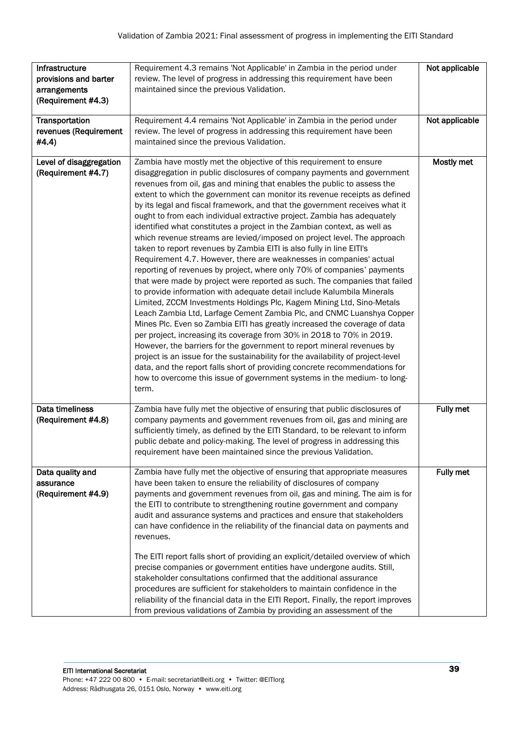| Infrastructure<br>provisions and barter             | Requirement 4.3 remains 'Not Applicable' in Zambia in the period under<br>review. The level of progress in addressing this requirement have been                                                                                                                                                                                                                                                                                                                                                                                                                                                                                                                                                                                                                                                                                                                                                                                                                                                                                                                                                                                                                                                                                                                                                                                                                                                                                                                                                                                                                                                                                                   | Not applicable |
|-----------------------------------------------------|----------------------------------------------------------------------------------------------------------------------------------------------------------------------------------------------------------------------------------------------------------------------------------------------------------------------------------------------------------------------------------------------------------------------------------------------------------------------------------------------------------------------------------------------------------------------------------------------------------------------------------------------------------------------------------------------------------------------------------------------------------------------------------------------------------------------------------------------------------------------------------------------------------------------------------------------------------------------------------------------------------------------------------------------------------------------------------------------------------------------------------------------------------------------------------------------------------------------------------------------------------------------------------------------------------------------------------------------------------------------------------------------------------------------------------------------------------------------------------------------------------------------------------------------------------------------------------------------------------------------------------------------------|----------------|
| arrangements<br>(Requirement #4.3)                  | maintained since the previous Validation.                                                                                                                                                                                                                                                                                                                                                                                                                                                                                                                                                                                                                                                                                                                                                                                                                                                                                                                                                                                                                                                                                                                                                                                                                                                                                                                                                                                                                                                                                                                                                                                                          |                |
| Transportation<br>revenues (Requirement<br>#4.4)    | Requirement 4.4 remains 'Not Applicable' in Zambia in the period under<br>review. The level of progress in addressing this requirement have been<br>maintained since the previous Validation.                                                                                                                                                                                                                                                                                                                                                                                                                                                                                                                                                                                                                                                                                                                                                                                                                                                                                                                                                                                                                                                                                                                                                                                                                                                                                                                                                                                                                                                      | Not applicable |
| Level of disaggregation<br>(Requirement #4.7)       | Zambia have mostly met the objective of this requirement to ensure<br>disaggregation in public disclosures of company payments and government<br>revenues from oil, gas and mining that enables the public to assess the<br>extent to which the government can monitor its revenue receipts as defined<br>by its legal and fiscal framework, and that the government receives what it<br>ought to from each individual extractive project. Zambia has adequately<br>identified what constitutes a project in the Zambian context, as well as<br>which revenue streams are levied/imposed on project level. The approach<br>taken to report revenues by Zambia EITI is also fully in line EITI's<br>Requirement 4.7. However, there are weaknesses in companies' actual<br>reporting of revenues by project, where only 70% of companies' payments<br>that were made by project were reported as such. The companies that failed<br>to provide information with adequate detail include Kalumbila Minerals<br>Limited, ZCCM Investments Holdings Plc, Kagem Mining Ltd, Sino-Metals<br>Leach Zambia Ltd, Larfage Cement Zambia Plc, and CNMC Luanshya Copper<br>Mines Plc. Even so Zambia EITI has greatly increased the coverage of data<br>per project, increasing its coverage from 30% in 2018 to 70% in 2019.<br>However, the barriers for the government to report mineral revenues by<br>project is an issue for the sustainability for the availability of project-level<br>data, and the report falls short of providing concrete recommendations for<br>how to overcome this issue of government systems in the medium- to long-<br>term. | Mostly met     |
| Data timeliness<br>(Requirement #4.8)               | Zambia have fully met the objective of ensuring that public disclosures of<br>company payments and government revenues from oil, gas and mining are<br>sufficiently timely, as defined by the EITI Standard, to be relevant to inform<br>public debate and policy-making. The level of progress in addressing this<br>requirement have been maintained since the previous Validation.                                                                                                                                                                                                                                                                                                                                                                                                                                                                                                                                                                                                                                                                                                                                                                                                                                                                                                                                                                                                                                                                                                                                                                                                                                                              | Fully met      |
| Data quality and<br>assurance<br>(Requirement #4.9) | Zambia have fully met the objective of ensuring that appropriate measures<br>have been taken to ensure the reliability of disclosures of company<br>payments and government revenues from oil, gas and mining. The aim is for<br>the EITI to contribute to strengthening routine government and company<br>audit and assurance systems and practices and ensure that stakeholders<br>can have confidence in the reliability of the financial data on payments and<br>revenues.<br>The EITI report falls short of providing an explicit/detailed overview of which<br>precise companies or government entities have undergone audits. Still,<br>stakeholder consultations confirmed that the additional assurance<br>procedures are sufficient for stakeholders to maintain confidence in the<br>reliability of the financial data in the EITI Report. Finally, the report improves<br>from previous validations of Zambia by providing an assessment of the                                                                                                                                                                                                                                                                                                                                                                                                                                                                                                                                                                                                                                                                                        | Fully met      |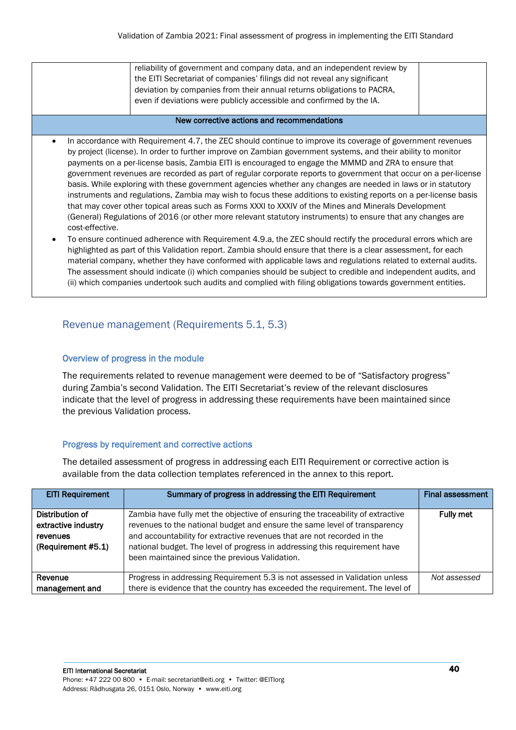| reliability of government and company data, and an independent review by<br>the EITI Secretariat of companies' filings did not reveal any significant |  |
|-------------------------------------------------------------------------------------------------------------------------------------------------------|--|
| deviation by companies from their annual returns obligations to PACRA,<br>even if deviations were publicly accessible and confirmed by the IA.        |  |
|                                                                                                                                                       |  |

#### New corrective actions and recommendations

- In accordance with Requirement 4.7, the ZEC should continue to improve its coverage of government revenues by project (license). In order to further improve on Zambian government systems, and their ability to monitor payments on a per-license basis, Zambia EITI is encouraged to engage the MMMD and ZRA to ensure that government revenues are recorded as part of regular corporate reports to government that occur on a per-license basis. While exploring with these government agencies whether any changes are needed in laws or in statutory instruments and regulations, Zambia may wish to focus these additions to existing reports on a per-license basis that may cover other topical areas such as Forms XXXI to XXXIV of the Mines and Minerals Development (General) Regulations of 2016 (or other more relevant statutory instruments) to ensure that any changes are cost-effective.
- To ensure continued adherence with Requirement 4.9.a, the ZEC should rectify the procedural errors which are highlighted as part of this Validation report. Zambia should ensure that there is a clear assessment, for each material company, whether they have conformed with applicable laws and regulations related to external audits. The assessment should indicate (i) which companies should be subject to credible and independent audits, and (ii) which companies undertook such audits and complied with filing obligations towards government entities.

# <span id="page-39-0"></span>Revenue management (Requirements 5.1, 5.3)

## Overview of progress in the module

The requirements related to revenue management were deemed to be of "Satisfactory progress" during Zambia's second Validation. The EITI Secretariat's review of the relevant disclosures indicate that the level of progress in addressing these requirements have been maintained since the previous Validation process.

# Progress by requirement and corrective actions

| <b>EITI Requirement</b>                                                  | Summary of progress in addressing the EITI Requirement                                                                                                                                                                                                                                                                                                                 | <b>Final assessment</b> |
|--------------------------------------------------------------------------|------------------------------------------------------------------------------------------------------------------------------------------------------------------------------------------------------------------------------------------------------------------------------------------------------------------------------------------------------------------------|-------------------------|
| Distribution of<br>extractive industry<br>revenues<br>(Requirement #5.1) | Zambia have fully met the objective of ensuring the traceability of extractive<br>revenues to the national budget and ensure the same level of transparency<br>and accountability for extractive revenues that are not recorded in the<br>national budget. The level of progress in addressing this requirement have<br>been maintained since the previous Validation. | <b>Fully met</b>        |
| Revenue                                                                  | Progress in addressing Requirement 5.3 is not assessed in Validation unless                                                                                                                                                                                                                                                                                            | Not assessed            |
| management and                                                           | there is evidence that the country has exceeded the requirement. The level of                                                                                                                                                                                                                                                                                          |                         |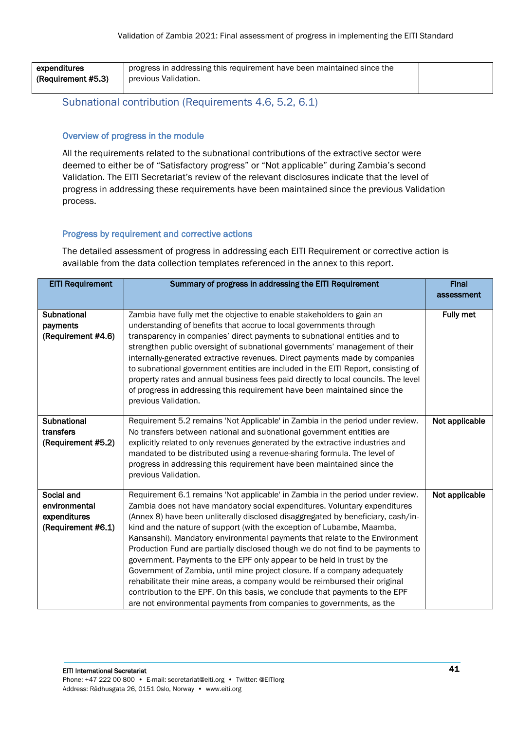| expenditures       | progress in addressing this requirement have been maintained since the |  |
|--------------------|------------------------------------------------------------------------|--|
| (Requirement #5.3) | previous Validation.                                                   |  |
|                    |                                                                        |  |

# <span id="page-40-0"></span>Subnational contribution (Requirements 4.6, 5.2, 6.1)

## Overview of progress in the module

All the requirements related to the subnational contributions of the extractive sector were deemed to either be of "Satisfactory progress" or "Not applicable" during Zambia's second Validation. The EITI Secretariat's review of the relevant disclosures indicate that the level of progress in addressing these requirements have been maintained since the previous Validation process.

## Progress by requirement and corrective actions

| <b>EITI Requirement</b>                                           | Summary of progress in addressing the EITI Requirement                                                                                                                                                                                                                                                                                                                                                                                                                                                                                                                                                                                                                                                                                                                                                                                                                                     | <b>Final</b><br>assessment |
|-------------------------------------------------------------------|--------------------------------------------------------------------------------------------------------------------------------------------------------------------------------------------------------------------------------------------------------------------------------------------------------------------------------------------------------------------------------------------------------------------------------------------------------------------------------------------------------------------------------------------------------------------------------------------------------------------------------------------------------------------------------------------------------------------------------------------------------------------------------------------------------------------------------------------------------------------------------------------|----------------------------|
| Subnational<br>payments<br>(Requirement #4.6)                     | Zambia have fully met the objective to enable stakeholders to gain an<br>understanding of benefits that accrue to local governments through<br>transparency in companies' direct payments to subnational entities and to<br>strengthen public oversight of subnational governments' management of their<br>internally-generated extractive revenues. Direct payments made by companies<br>to subnational government entities are included in the EITI Report, consisting of<br>property rates and annual business fees paid directly to local councils. The level<br>of progress in addressing this requirement have been maintained since the<br>previous Validation.                                                                                                                                                                                                                     | <b>Fully met</b>           |
| Subnational<br>transfers<br>(Requirement #5.2)                    | Requirement 5.2 remains 'Not Applicable' in Zambia in the period under review.<br>No transfers between national and subnational government entities are<br>explicitly related to only revenues generated by the extractive industries and<br>mandated to be distributed using a revenue-sharing formula. The level of<br>progress in addressing this requirement have been maintained since the<br>previous Validation.                                                                                                                                                                                                                                                                                                                                                                                                                                                                    | Not applicable             |
| Social and<br>environmental<br>expenditures<br>(Requirement #6.1) | Requirement 6.1 remains 'Not applicable' in Zambia in the period under review.<br>Zambia does not have mandatory social expenditures. Voluntary expenditures<br>(Annex 8) have been unliterally disclosed disaggregated by beneficiary, cash/in-<br>kind and the nature of support (with the exception of Lubambe, Maamba,<br>Kansanshi). Mandatory environmental payments that relate to the Environment<br>Production Fund are partially disclosed though we do not find to be payments to<br>government. Payments to the EPF only appear to be held in trust by the<br>Government of Zambia, until mine project closure. If a company adequately<br>rehabilitate their mine areas, a company would be reimbursed their original<br>contribution to the EPF. On this basis, we conclude that payments to the EPF<br>are not environmental payments from companies to governments, as the | Not applicable             |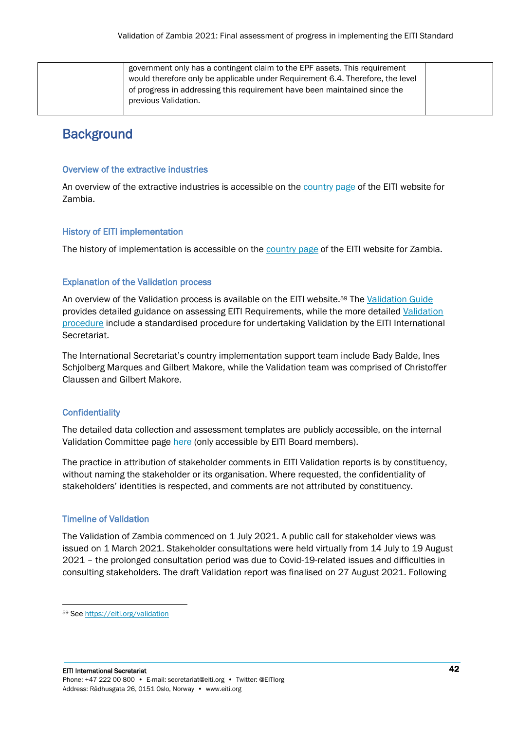| government only has a contingent claim to the EPF assets. This requirement     |
|--------------------------------------------------------------------------------|
| would therefore only be applicable under Requirement 6.4. Therefore, the level |
| of progress in addressing this requirement have been maintained since the      |
| previous Validation.                                                           |
|                                                                                |

# <span id="page-41-0"></span>**Background**

#### Overview of the extractive industries

An overview of the extractive industries is accessible on th[e country page](https://eiti.org/zambia) of the EITI website for Zambia.

## History of EITI implementation

The history of implementation is accessible on the **country page** of the EITI website for Zambia.

## Explanation of the Validation process

An overview of the Validation process is available on the EITI website.<sup>59</sup> The [Validation Guide](https://eiti.org/document/validation-guide) provides detailed guidance on assessing EITI Requirements, while the more detailed [Validation](https://eiti.org/document/validation-procedures)  [procedure](https://eiti.org/document/validation-procedures) include a standardised procedure for undertaking Validation by the EITI International Secretariat.

The International Secretariat's country implementation support team include Bady Balde, Ines Schjolberg Marques and Gilbert Makore, while the Validation team was comprised of Christoffer Claussen and Gilbert Makore.

#### **Confidentiality**

The detailed data collection and assessment templates are publicly accessible, on the internal Validation Committee page [here](https://extractives.sharepoint.com/sites/ValidationCommittee_/SitePages/Zambi-Validation-(2021).aspx) (only accessible by EITI Board members).

The practice in attribution of stakeholder comments in EITI Validation reports is by constituency, without naming the stakeholder or its organisation. Where requested, the confidentiality of stakeholders' identities is respected, and comments are not attributed by constituency.

# Timeline of Validation

The Validation of Zambia commenced on 1 July 2021. A public call for stakeholder views was issued on 1 March 2021. Stakeholder consultations were held virtually from 14 July to 19 August 2021 – the prolonged consultation period was due to Covid-19-related issues and difficulties in consulting stakeholders. The draft Validation report was finalised on 27 August 2021. Following

<sup>59</sup> See<https://eiti.org/validation>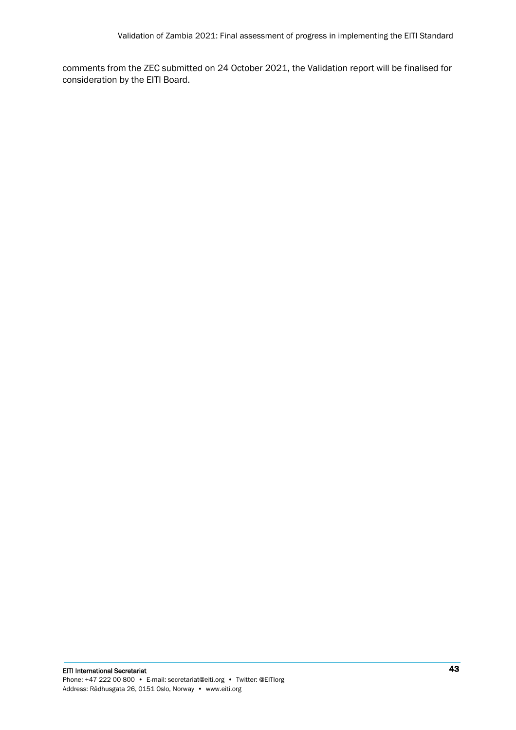comments from the ZEC submitted on 24 October 2021, the Validation report will be finalised for consideration by the EITI Board.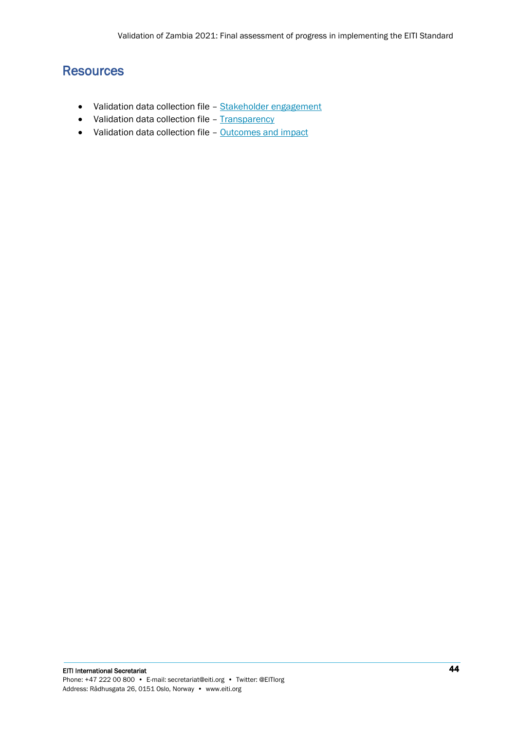# <span id="page-43-0"></span>**Resources**

- Validation data collection file [Stakeholder engagement](https://extractives.sharepoint.com/:w:/s/ValidationCommittee_/EWwg7k6NrAZMvkew1NU_5bkBw5U_32KGvii8lfe5BW-CGw?e=TAdXLf)
- Validation data collection file [Transparency](https://extractives.sharepoint.com/:x:/s/ValidationCommittee_/Edd5lKzzE5FHusASCxoucacBIuv-CC_qK8Ei5Ye3Np1Prw?e=8gXn9L)
- Validation data collection file [Outcomes and impact](https://extractives.sharepoint.com/:w:/s/ValidationCommittee_/EZw4C69f9VVOsv5tsYKwQKcBBBYATTcZgNI2gWPrsVhFkA?e=ac6wPd)